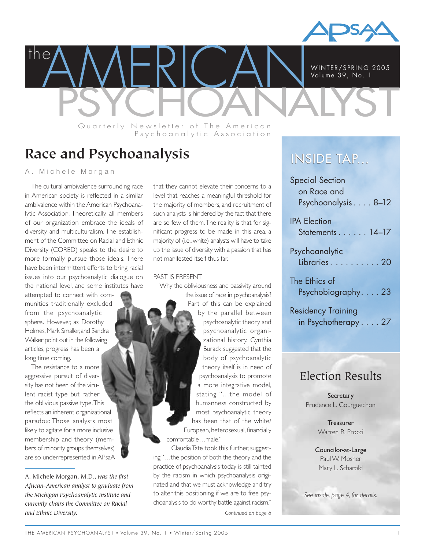

**PAMERICAN WINTER/SPRING 2005** WINTER/SPRING 2005 Volume 39, No. 1

Quarterly Newsletter of The American Psychoanalytic Association

# **Race and Psychoanalysis**

# A. Michele Morgan

the

The cultural ambivalence surrounding race in American society is reflected in a similar ambivalence within the American Psychoanalytic Association. Theoretically, all members of our organization embrace the ideals of diversity and multiculturalism. The establishment of the Committee on Racial and Ethnic Diversity (CORED) speaks to the desire to more formally pursue those ideals. There have been intermittent efforts to bring racial issues into our psychoanalytic dialogue on the national level, and some institutes have

attempted to connect with communities traditionally excluded from the psychoanalytic sphere. However, as Dorothy Holmes, Mark Smaller, and Sandra Walker point out in the following articles, progress has been a long time coming.

The resistance to a more aggressive pursuit of diversity has not been of the virulent racist type but rather the oblivious passive type.This reflects an inherent organizational paradox: Those analysts most likely to agitate for a more inclusive membership and theory (members of minority groups themselves) are so underrepresented in APsaA that they cannot elevate their concerns to a level that reaches a meaningful threshold for the majority of members, and recruitment of such analysts is hindered by the fact that there are so few of them.The reality is that for significant progress to be made in this area, a majority of (i.e., white) analysts will have to take up the issue of diversity with a passion that has not manifested itself thus far.

#### PAST IS PRESENT

Why the obliviousness and passivity around the issue of race in psychoanalysis? Part of this can be explained by the parallel between psychoanalytic theory and psychoanalytic organizational history. Cynthia Burack suggested that the body of psychoanalytic theory itself is in need of psychoanalysis to promote a more integrative model, stating "…the model of humanness constructed by most psychoanalytic theory has been that of the white/ European, heterosexual, financially comfortable…male."

Claudia Tate took this further, suggesting "…the position of both the theory and the practice of psychoanalysis today is still tainted by the racism in which psychoanalysis originated and that we must acknowledge and try to alter this positioning if we are to free psychoanalysis to do worthy battle against racism." *Continued on page 8*

# INSIDE TAP...

| <b>Special Section</b>                                                             |
|------------------------------------------------------------------------------------|
| on Race and                                                                        |
| Psychoanalysis8-12                                                                 |
| <b>IPA Election</b>                                                                |
| Statements 14-17                                                                   |
|                                                                                    |
|                                                                                    |
|                                                                                    |
| The Ethics of                                                                      |
|                                                                                    |
|                                                                                    |
| Psychoanalytic<br>Libraries 20<br>Psychobiography. 23<br><b>Residency Training</b> |

in Psychotherapy . . . . 27

# Election Results

**Secretary** Prudence L. Gourguechon

> Treasurer Warren R. Procci

Councilor-at-Large Paul W. Mosher Mary L. Scharold

*See inside, page 4, for details.*

A. Michele Morgan, M.D., *was the first African-American analyst to graduate from the Michigan Psychoanalytic Institute and currently chairs the Committee on Racial and Ethnic Diversity.*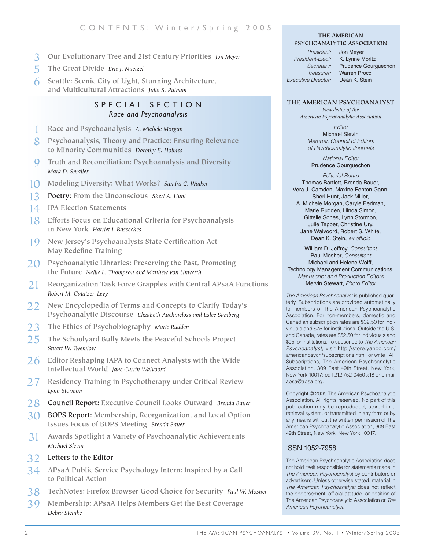- 3 **Our Evolutionary Tree and 21st Century Priorities** *Jon Meyer*
- 5 **The Great Divide** *Eric J. Nuetzel*
- 6 **Seattle: Scenic City of Light, Stunning Architecture, and Multicultural Attractions** *Julia S. Putnam*

# SPECIAL SECTION *Race and Psychoanalysis*

- 1 **Race and Psychoanalysis** *A. Michele Morgan*
- 8 **Psychoanalysis, Theory and Practice: Ensuring Relevance to Minority Communities** *Dorothy E. Holmes*
- 9 **Truth and Reconciliation: Psychoanalysis and Diversity** *Mark D. Smaller*
- 10 **Modeling Diversity: What Works?** *Sandra C. Walker*
- 13 **Poetry: From the Unconscious** *Sheri A. Hunt*
- 14 **IPA Election Statements**
- 18 **Efforts Focus on Educational Criteria for Psychoanalysis in New York** *Harriet I. Basseches*
- 19 **New Jersey's Psychoanalysts State Certification Act May Redefine Training**
- 20 **Psychoanalytic Libraries: Preserving the Past, Promoting the Future** *Nellie L. Thompson and Matthew von Unwerth*
- 21 **Reorganization Task Force Grapples with Central APsaA Functions** *Robert M. Galatzer-Levy*
- 22 **New Encyclopedia of Terms and Concepts to Clarify Today's Psychoanalytic Discourse** *Elizabeth Auchincloss and Eslee Samberg*
- 23 **The Ethics of Psychobiography** *Marie Rudden*
- 25 **The Schoolyard Bully Meets the Peaceful Schools Project** *Stuart W. Twemlow*
- 26 **Editor Reshaping JAPA to Connect Analysts with the Wide Intellectual World** *Jane Currin Walvoord*
- 27 **Residency Training in Psychotherapy under Critical Review** *Lynn Stormon*
- 28 **Council Report: Executive Council Looks Outward** *Brenda Bauer*
- 30 **BOPS Report: Membership, Reorganization, and Local Option Issues Focus of BOPS Meeting** *Brenda Bauer*
- 31 **Awards Spotlight a Variety of Psychoanalytic Achievements** *Michael Slevin*
- 32 **Letters to the Editor**
- 34 **APsaA Public Service Psychology Intern: Inspired by a Call to Political Action**
- 38 **TechNotes: Firefox Browser Good Choice for Security** *Paul W. Mosher*
- 39 **Membership: APsaA Helps Members Get the Best Coverage** *Debra Steinke*

#### **THE AMERICAN PSYCHOANALYTIC ASSOCIATION**

*President:* Jon Meyer *President-Elect:* K. Lynne Moritz *Secretary:* Prudence Gourguechon *Treasurer:* Warren Procci *Executive Director:* 

#### **THE AMERICAN PSYCHOANALYST**

*Newsletter of the American Psychoanalytic Association*

*Editor* Michael Slevin *Member, Council of Editors of Psychoanalytic Journals*

*National Editor* Prudence Gourguechon

*Editorial Board* Thomas Bartlett, Brenda Bauer, Vera J. Camden, Maxine Fenton Gann, Sheri Hunt, Jack Miller, A. Michele Morgan, Caryle Perlman, Marie Rudden, Hinda Simon, Gittelle Sones, Lynn Stormon, Julie Tepper, Christine Ury, Jane Walvoord, Robert S. White, Dean K. Stein, *ex officio*

William D. Jeffrey, *Consultant* Paul Mosher, *Consultant* Michael and Helene Wolff, Technology Management Communications, *Manuscript and Production Editors* Mervin Stewart, *Photo Editor*

*The American Psychoanalyst* is published quarterly. Subscriptions are provided automatically to members of The American Psychoanalytic Association. For non-members, domestic and Canadian subscription rates are \$32.50 for individuals and \$75 for institutions. Outside the U.S. and Canada, rates are \$52.50 for individuals and \$95 for institutions. To subscribe to *The American Psychoanalyst*, visit http://store.yahoo.com/ americanpsych/subscriptions.html, or write TAP Subscriptions, The American Psychoanalytic Association, 309 East 49th Street, New York, New York 10017; call 212-752-0450 x18 or e-mail apsa@apsa.org.

Copyright © 2005 The American Psychoanalytic Association. All rights reserved. No part of this publication may be reproduced, stored in a retrieval system, or transmitted in any form or by any means without the written permission of The American Psychoanalytic Association, 309 East 49th Street, New York, New York 10017.

### ISSN 1052-7958

The American Psychoanalytic Association does not hold itself responsible for statements made in *The American Psychoanalyst* by contributors or advertisers. Unless otherwise stated, material in *The American Psychoanalyst* does not reflect the endorsement, official attitude, or position of The American Psychoanalytic Association or *The American Psychoanalyst.*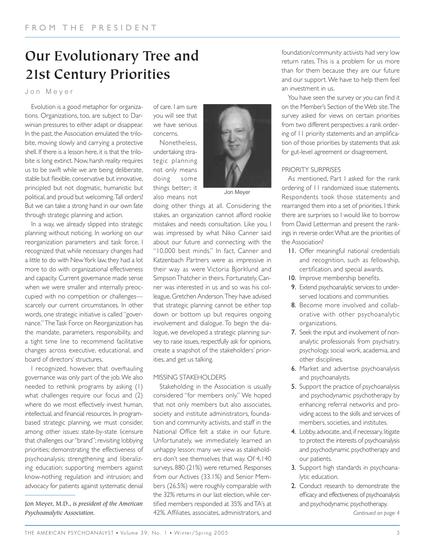# **Our Evolutionary Tree and 21st Century Priorities**

Jon Meyer

Evolution is a good metaphor for organizations. Organizations, too, are subject to Darwinian pressures to either adapt or disappear. In the past, the Association emulated the trilobite, moving slowly and carrying a protective shell. If there is a lesson here, it is that the trilobite is long extinct. Now, harsh reality requires us to be swift while we are being deliberate, stable but flexible, conservative but innovative, principled but not dogmatic, humanistic but political, and proud but welcoming.Tall orders! But we can take a strong hand in our own fate through strategic planning and action.

In a way, we already slipped into strategic planning without noticing. In working on our reorganization parameters and task force, I recognized that while necessary changes had a little to do with New York law, they had a lot more to do with organizational effectiveness and capacity. Current governance made sense when we were smaller and internally preoccupied with no competition or challenges scarcely our current circumstances. In other words, one strategic initiative is called "governance." The Task Force on Reorganization has the mandate, parameters, responsibility, and a tight time line to recommend facilitative changes across executive, educational, and board of directors' structures.

I recognized, however, that overhauling governance was only part of the job.We also needed to rethink programs by asking (1) what challenges require our focus and (2) where do we most effectively invest human, intellectual, and financial resources. In programbased strategic planning, we must consider, among other issues: state-by-state licensure that challenges our "brand"; revisiting lobbying priorities; demonstrating the effectiveness of psychoanalysis; strengthening and liberalizing education; supporting members against know-nothing regulation and intrusion; and advocacy for patients against systematic denial

Jon Meyer, M.D., *is president of the American Psychoanalytic Association.*

of care. I am sure you will see that we have serious concerns.

Nonetheless, undertaking strategic planning not only means doing some things better; it also means not



Jon Meyer

doing other things at all. Considering the stakes, an organization cannot afford rookie mistakes and needs consultation. Like you, I was impressed by what Niko Canner said about our future and connecting with the "10,000 best minds." In fact, Canner and Katzenbach Partners were as impressive in their way as were Victoria Bjorklund and Simpson Thatcher in theirs. Fortunately, Canner was interested in us and so was his colleague, Gretchen Anderson.They have advised that strategic planning cannot be either top down or bottom up but requires ongoing involvement and dialogue. To begin the dialogue, we developed a strategic planning survey to raise issues, respectfully ask for opinions, create a snapshot of the stakeholders' priorities, and get us talking.

### MISSING STAKEHOLDERS

Stakeholding in the Association is usually considered "for members only." We hoped that not only members but also associates, society and institute administrators, foundation and community activists, and staff in the National Office felt a stake in our future. Unfortunately, we immediately learned an unhappy lesson: many we view as stakeholders don't see themselves that way. Of 4,140 surveys, 880 (21%) were returned. Responses from our Actives (33.1%) and Senior Members (26.5%) were roughly comparable with the 32% returns in our last election, while certified members responded at 35% and TA's at 42%. Affiliates, associates, administrators, and

foundation/community activists had very low return rates. This is a problem for us more than for them because they are our future and our support. We have to help them feel an investment in us.

You have seen the survey or you can find it on the Member's Section of the Web site.The survey asked for views on certain priorities from two different perspectives: a rank ordering of 11 priority statements and an amplification of those priorities by statements that ask for gut-level agreement or disagreement.

### PRIORITY SURPRISES

As mentioned, Part I asked for the rank ordering of 11 randomized issue statements. Respondents took those statements and rearranged them into a set of priorities. I think there are surprises so I would like to borrow from David Letterman and present the rankings in reverse order.What are the priorities of the Association?

- 11. Offer meaningful national credentials and recognition, such as fellowship, certification, and special awards.
- 10. Improve membership benefits.
- 9. Extend psychoanalytic services to underserved locations and communities.
- 8. Become more involved and collaborative with other psychoanalytic organizations.
- 7. Seek the input and involvement of nonanalytic professionals from psychiatry, psychology, social work, academia, and other disciplines.
- 6. Market and advertise psychoanalysis and psychoanalysts.
- 5. Support the practice of psychoanalysis and psychodynamic psychotherapy by enhancing referral networks and providing access to the skills and services of members, societies, and institutes.
- 4. Lobby, advocate, and, if necessary, litigate to protect the interests of psychoanalysis and psychodynamic psychotherapy and our patients.
- 3. Support high standards in psychoanalytic education.
- 2. Conduct research to demonstrate the efficacy and effectiveness of psychoanalysis and psychodynamic psychotherapy.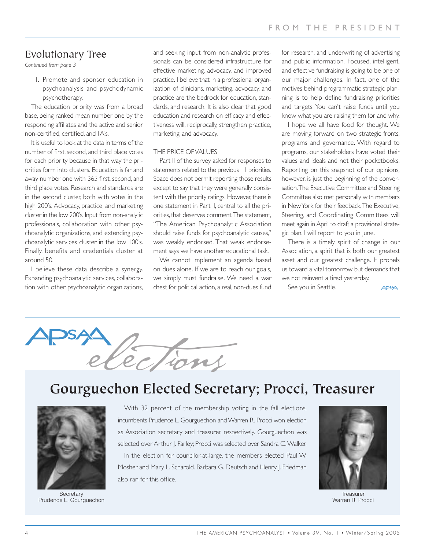# Evolutionary Tree

*Continued from page 3*

1. Promote and sponsor education in psychoanalysis and psychodynamic psychotherapy.

The education priority was from a broad base, being ranked mean number one by the responding affiliates and the active and senior non-certified, certified, and TA's.

It is useful to look at the data in terms of the number of first, second, and third place votes for each priority because in that way the priorities form into clusters. Education is far and away number one with 365 first, second, and third place votes. Research and standards are in the second cluster, both with votes in the high 200's. Advocacy, practice, and marketing cluster in the low 200's. Input from non-analytic professionals, collaboration with other psychoanalytic organizations, and extending psychoanalytic services cluster in the low 100's. Finally, benefits and credentials cluster at around 50.

I believe these data describe a synergy. Expanding psychoanalytic services, collaboration with other psychoanalytic organizations, and seeking input from non-analytic professionals can be considered infrastructure for effective marketing, advocacy, and improved practice. I believe that in a professional organization of clinicians, marketing, advocacy, and practice are the bedrock for education, standards, and research. It is also clear that good education and research on efficacy and effectiveness will, reciprocally, strengthen practice, marketing, and advocacy.

#### THE PRICE OF VALUES

Part II of the survey asked for responses to statements related to the previous 11 priorities. Space does not permit reporting those results except to say that they were generally consistent with the priority ratings. However, there is one statement in Part II, central to all the priorities, that deserves comment.The statement, "The American Psychoanalytic Association should raise funds for psychoanalytic causes," was weakly endorsed. That weak endorsement says we have another educational task.

We cannot implement an agenda based on dues alone. If we are to reach our goals, we simply must fundraise. We need a war chest for political action, a real, non-dues fund

for research, and underwriting of advertising and public information. Focused, intelligent, and effective fundraising is going to be one of our major challenges. In fact, one of the motives behind programmatic strategic planning is to help define fundraising priorities and targets. You can't raise funds until you know what you are raising them for and why.

I hope we all have food for thought. We are moving forward on two strategic fronts, programs and governance. With regard to programs, our stakeholders have voted their values and ideals and not their pocketbooks. Reporting on this snapshot of our opinions, however, is just the beginning of the conversation.The Executive Committee and Steering Committee also met personally with members in New York for their feedback.The Executive, Steering, and Coordinating Committees will meet again in April to draft a provisional strategic plan. I will report to you in June.

There is a timely spirit of change in our Association, a spirit that is both our greatest asset and our greatest challenge. It propels us toward a vital tomorrow but demands that we not reinvent a tired yesterday.

See you in Seattle.





# **Gourguechon Elected Secretary; Procci, Treasurer**



**Secretary** Prudence L. Gourguechon

With 32 percent of the membership voting in the fall elections, incumbents Prudence L. Gourguechon and Warren R. Procci won election as Association secretary and treasurer, respectively. Gourguechon was selected over Arthur J. Farley; Procci was selected over Sandra C. Walker. In the election for councilor-at-large, the members elected Paul W. Mosher and Mary L. Scharold. Barbara G. Deutsch and Henry J. Friedman also ran for this office.



**Treasurer** Warren R. Procci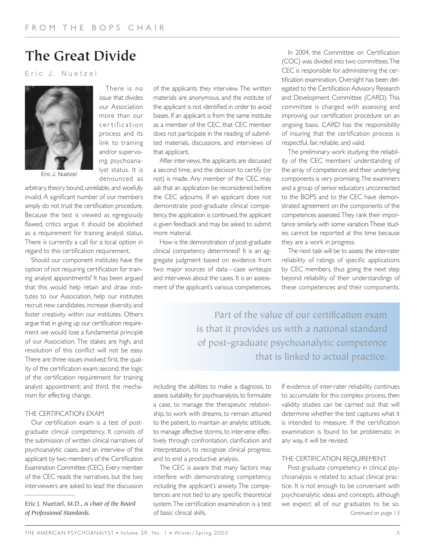# **The Great Divide**

Eric J. Nuetzel



issue that divides our Association more than our certification process and its link to training and/or supervising psychoanalyst status. It is denounced as

There is no

arbitrary, theory bound, unreliable, and woefully invalid. A significant number of our members simply do not trust the certification procedure. Because the test is viewed as egregiously flawed, critics argue it should be abolished as a requirement for training analyst status. There is currently a call for a local option in regard to this certification requirement.

Should our component institutes have the option of not requiring certification for training analyst appointments? It has been argued that this would help retain and draw institutes to our Association, help our institutes recruit new candidates, increase diversity, and foster creativity within our institutes. Others argue that in giving up our certification requirement we would lose a fundamental principle of our Association. The stakes are high, and resolution of this conflict will not be easy. There are three issues involved: first, the quality of the certification exam; second, the logic of the certification requirement for training analyst appointment; and third, the mechanism for effecting change.

# THE CERTIFICATION EXAM

Our certification exam is a test of postgraduate clinical competency. It consists of the submission of written clinical narratives of psychoanalytic cases, and an interview of the applicant by two members of the Certification Examination Committee (CEC). Every member of the CEC reads the narratives, but the two interviewers are asked to lead the discussion

Eric J. Nuetzel, M.D., *is chair of the Board of Professional Standards.*

of the applicants they interview. The written materials are anonymous, and the institute of the applicant is not identified in order to avoid biases. If an applicant is from the same institute as a member of the CEC, that CEC member does not participate in the reading of submitted materials, discussions, and interviews of that applicant.

After interviews, the applicants are discussed a second time, and the decision to certify (or not) is made. Any member of the CEC may ask that an application be reconsidered before the CEC adjourns. If an applicant does not demonstrate post-graduate clinical competency, the application is continued, the applicant is given feedback and may be asked to submit more material.

How is the demonstration of post-graduate clinical competency determined? It is an aggregate judgment based on evidence from two major sources of data—case writeups and interviews about the cases. It is an assessment of the applicant's various competences,

In 2004, the Committee on Certification (COC) was divided into two committees.The CEC is responsible for administering the certification examination. Oversight has been delegated to the Certification Advisory Research and Development Committee (CARD). This committee is charged with assessing and improving our certification procedure on an ongoing basis. CARD has the responsibility of insuring that the certification process is respectful, fair, reliable, and valid.

The preliminary work studying the reliability of the CEC members' understanding of the array of competences and their underlying components is very promising.The examiners and a group of senior educators unconnected to the BOPS and to the CEC have demonstrated agreement on the components of the competences assessed.They rank their importance similarly, with some variation.These studies cannot be reported at this time because they are a work in progress.

The next task will be to assess the inter-rater reliability of ratings of specific applications by CEC members, thus going the next step beyond reliability of their understandings of these competences and their components.

Part of the value of our certification exam is that it provides us with a national standard of post-graduate psychoanalytic competence that is linked to actual practice.

including the abilities to make a diagnosis, to assess suitability for psychoanalysis, to formulate a case, to manage the therapeutic relationship, to work with dreams, to remain attuned to the patient, to maintain an analytic attitude, to manage affective storms, to intervene effectively through confrontation, clarification and interpretation, to recognize clinical progress, and to end a productive analysis.

The CEC is aware that many factors may interfere with demonstrating competency, including the applicant's anxiety. The competences are not tied to any specific theoretical system.The certification examination is a test of basic clinical skills.

If evidence of inter-rater reliability continues to accumulate for this complex process, then validity studies can be carried out that will determine whether the test captures what it is intended to measure. If the certification examination is found to be problematic in any way, it will be revised.

#### THE CERTIFICATION REQUIREMENT

Post-graduate competency in clinical psychoanalysis is related to actual clinical practice. It is not enough to be conversant with psychoanalytic ideas and concepts, although we expect all of our graduates to be so. *Continued on page 13*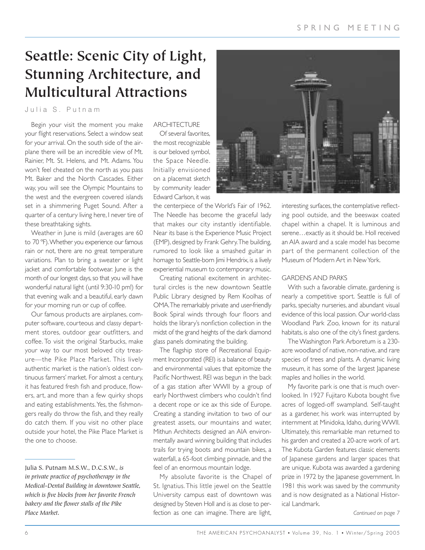# **Seattle: Scenic City of Light, Stunning Architecture, and Multicultural Attractions**

Julia S. Putnam

Begin your visit the moment you make your flight reservations. Select a window seat for your arrival. On the south side of the airplane there will be an incredible view of Mt. Rainier, Mt. St. Helens, and Mt. Adams. You won't feel cheated on the north as you pass Mt. Baker and the North Cascades. Either way, you will see the Olympic Mountains to the west and the evergreen covered islands set in a shimmering Puget Sound. After a quarter of a century living here, I never tire of these breathtaking sights.

Weather in June is mild (averages are 60 to 70 ºF).Whether you experience our famous rain or not, there are no great temperature variations. Plan to bring a sweater or light jacket and comfortable footwear. June is the month of our longest days, so that you will have wonderful natural light (until 9:30-10 pm!) for that evening walk and a beautiful, early dawn for your morning run or cup of coffee.

Our famous products are airplanes, computer software, courteous and classy department stores, outdoor gear outfitters, and coffee. To visit the original Starbucks, make your way to our most beloved city treasure—the Pike Place Market. This lively authentic market is the nation's oldest continuous farmers' market. For almost a century, it has featured fresh fish and produce, flowers, art, and more than a few quirky shops and eating establishments. Yes, the fishmongers really do throw the fish, and they really do catch them. If you visit no other place outside your hotel, the Pike Place Market is the one to choose.

### **ARCHITECTURE**

Of several favorites, the most recognizable is our beloved symbol, the Space Needle. Initially envisioned on a placemat sketch by community leader Edward Carlson, it was

the centerpiece of the World's Fair of 1962. The Needle has become the graceful lady that makes our city instantly identifiable. Near its base is the Experience Music Project (EMP), designed by Frank Gehry.The building, rumored to look like a smashed guitar in homage to Seattle-born Jimi Hendrix, is a lively experiential museum to contemporary music.

Creating national excitement in architectural circles is the new downtown Seattle Public Library designed by Rem Koolhas of OMA.The remarkably private and user-friendly Book Spiral winds through four floors and holds the library's nonfiction collection in the midst of the grand heights of the dark diamond glass panels dominating the building.

The flagship store of Recreational Equipment Incorporated (REI) is a balance of beauty and environmental values that epitomize the Pacific Northwest. REI was begun in the back of a gas station after WWII by a group of early Northwest climbers who couldn't find a decent rope or ice ax this side of Europe. Creating a standing invitation to two of our greatest assets, our mountains and water, Mithun Architects designed an AIA environmentally award winning building that includes trails for trying boots and mountain bikes, a waterfall, a 65-foot climbing pinnacle, and the feel of an enormous mountain lodge.

My absolute favorite is the Chapel of St. Ignatius. This little jewel on the Seattle University campus east of downtown was designed by Steven Holl and is as close to perfection as one can imagine. There are light,



interesting surfaces, the contemplative reflecting pool outside, and the beeswax coated chapel within a chapel. It is luminous and serene…exactly as it should be. Holl received an AIA award and a scale model has become part of the permanent collection of the Museum of Modern Art in New York.

### GARDENS AND PARKS

With such a favorable climate, gardening is nearly a competitive sport. Seattle is full of parks, specialty nurseries, and abundant visual evidence of this local passion. Our world-class Woodland Park Zoo, known for its natural habitats, is also one of the city's finest gardens.

The Washington Park Arboretum is a 230 acre woodland of native, non-native, and rare species of trees and plants. A dynamic living museum, it has some of the largest Japanese maples and hollies in the world.

My favorite park is one that is much overlooked. In 1927 Fujitaro Kubota bought five acres of logged-off swampland. Self-taught as a gardener, his work was interrupted by internment at Minidoka, Idaho, during WWII. Ultimately, this remarkable man returned to his garden and created a 20-acre work of art. The Kubota Garden features classic elements of Japanese gardens and larger spaces that are unique. Kubota was awarded a gardening prize in 1972 by the Japanese government. In 1981 this work was saved by the community and is now designated as a National Historical Landmark.

Julia S. Putnam M.S.W., D.C.S.W., *is in private practice of psychotherapy in the Medical-Dental Building in downtown Seattle, which is five blocks from her favorite French bakery and the flower stalls of the Pike Place Market.*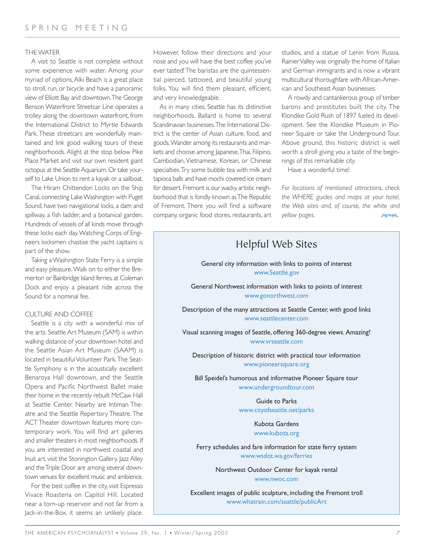### THE WATER

A visit to Seattle is not complete without some experience with water. Among your myriad of options,Alki Beach is a great place to stroll, run, or bicycle and have a panoramic view of Elliott Bay and downtown.The George Benson Waterfront Streetcar Line operates a trolley along the downtown waterfront, from the International District to Myrtle Edwards Park. These streetcars are wonderfully maintained and link good walking tours of these neighborhoods. Alight at the stop below Pike Place Market and visit our own resident giant octopus at the Seattle Aquarium. Or take yourself to Lake Union to rent a kayak or a sailboat.

The Hiram Chittendon Locks on the Ship Canal, connecting Lake Washington with Puget Sound, have two navigational locks, a dam and spillway, a fish ladder, and a botanical garden. Hundreds of vessels of all kinds move through these locks each day.Watching Corps of Engineers locksmen chastise the yacht captains is part of the show.

Taking a Washington State Ferry is a simple and easy pleasure.Walk on to either the Bremerton or Bainbridge Island ferries, at Coleman Dock and enjoy a pleasant ride across the Sound for a nominal fee.

### CULTURE AND COFFEE

Seattle is a city with a wonderful mix of the arts. Seattle Art Museum (SAM) is within walking distance of your downtown hotel and the Seattle Asian Art Museum (SAAM) is located in beautiful Volunteer Park.The Seattle Symphony is in the acoustically excellent Benaroya Hall downtown, and the Seattle Opera and Pacific Northwest Ballet make their home in the recently rebuilt McCaw Hall at Seattle Center. Nearby are Intiman Theatre and the Seattle Repertory Theatre. The ACT Theater downtown features more contemporary work. You will find art galleries and smaller theaters in most neighborhoods. If you are interested in northwest coastal and Inuit art, visit the Stonington Gallery. Jazz Alley and the Triple Door are among several downtown venues for excellent music and ambience.

For the best coffee in the city, visit Espresso Vivace Roasteria on Capitol Hill. Located near a torn-up reservoir and not far from a Jack-in-the-Box, it seems an unlikely place. However, follow their directions and your nose and you will have the best coffee you've ever tasted! The baristas are the quintessential pierced, tattooed, and beautiful young folks. You will find them pleasant, efficient, and very knowledgeable.

As in many cities, Seattle has its distinctive neighborhoods. Ballard is home to several Scandinavian businesses.The International District is the center of Asian culture, food, and goods.Wander among its restaurants and markets and choose among Japanese, Thai, Filipino, Cambodian, Vietnamese, Korean, or Chinese specialties.Try some bubble tea with milk and tapioca balls and have mochi covered ice cream for dessert. Fremont is our wacky, artistic neighborhood that is fondly known as The Republic of Fremont. There you will find a software company, organic food stores, restaurants, art studios, and a statue of Lenin from Russia. Rainier Valley was originally the home of Italian and German immigrants and is now a vibrant multicultural thoroughfare with African-American and Southeast Asian businesses.

A rowdy and cantankerous group of timber barons and prostitutes built the city. The Klondike Gold Rush of 1897 fueled its development. See the Klondike Museum in Pioneer Square or take the Underground Tour. Above ground, this historic district is well worth a stroll giving you a taste of the beginnings of this remarkable city.

Have a wonderful time!

*For locations of mentioned attractions, check the WHERE guides and maps at your hotel, the Web sites and, of course, the white and yellow pages.* APSA

# Helpful Web Sites General city information with links to points of interest www.Seattle.gov General Northwest information with links to points of interest www.gonorthwest.com Description of the many attractions at Seattle Center, with good links www.seattlecenter.com Visual scanning images of Seattle, offering 360-degree views. Amazing! www.vrseattle.com Description of historic district with practical tour information www.pioneersquare.org Bill Speidel's humorous and informative Pioneer Square tour www.undergroundtour.com Guide to Parks www.cityofseattle.net/parks

Kubota Gardens www.kubota.org

Ferry schedules and fare information for state ferry system www.wsdot.wa.gov/ferries

> Northwest Outdoor Center for kayak rental www.nwoc.com

Excellent images of public sculpture, including the Fremont troll www.whatrain.com/seattle/publicArt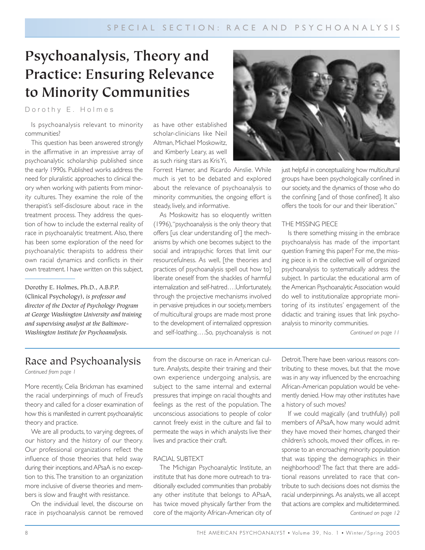# **Psychoanalysis, Theory and Practice: Ensuring Relevance to Minority Communities**

Dorothy E. Holmes

Is psychoanalysis relevant to minority communities?

This question has been answered strongly in the affirmative in an impressive array of psychoanalytic scholarship published since the early 1990s. Published works address the need for pluralistic approaches to clinical theory when working with patients from minority cultures. They examine the role of the therapist's self-disclosure about race in the treatment process. They address the question of how to include the external reality of race in psychoanalytic treatment. Also, there has been some exploration of the need for psychoanalytic therapists to address their own racial dynamics and conflicts in their own treatment. I have written on this subject,

Dorothy E. Holmes, Ph.D., A.B.P.P. (Clinical Psychology), *is professor and director of the Doctor of Psychology Program at George Washington University and training and supervising analyst at the Baltimore-Washington Institute for Psychoanalysis.*

as have other established scholar-clinicians like Neil Altman, Michael Moskowitz, and Kimberly Leary, as well as such rising stars as Kris Yi,

Forrest Hamer, and Ricardo Ainslie. While much is yet to be debated and explored about the relevance of psychoanalysis to minority communities, the ongoing effort is steady, lively, and informative.

As Moskowitz has so eloquently written (1996),"psychoanalysis is the only theory that offers [us clear understanding of ] the mechanisms by which one becomes subject to the social and intrapsychic forces that limit our resourcefulness. As well, [the theories and practices of psychoanalysis spell out how to] liberate oneself from the shackles of harmful internalization and self-hatred….Unfortunately, through the projective mechanisms involved in pervasive prejudices in our society, members of multicultural groups are made most prone to the development of internalized oppression and self-loathing….So, psychoanalysis is not



just helpful in conceptualizing how multicultural groups have been psychologically confined in our society, and the dynamics of those who do the confining [and of those confined]. It also offers the tools for our and their liberation."

#### THE MISSING PIECE

Is there something missing in the embrace psychoanalysis has made of the important question framing this paper? For me, the missing piece is in the collective will of organized psychoanalysis to systematically address the subject. In particular, the educational arm of the American Psychoanalytic Association would do well to institutionalize appropriate monitoring of its institutes' engagement of the didactic and training issues that link psychoanalysis to minority communities.

*Continued on page 11*

# Race and Psychoanalysis

*Continued from page 1*

More recently, Celia Brickman has examined the racial underpinnings of much of Freud's theory and called for a closer examination of how this is manifested in current psychoanalytic theory and practice.

We are all products, to varying degrees, of our history and the history of our theory. Our professional organizations reflect the influence of those theories that held sway during their inceptions, and APsaA is no exception to this.The transition to an organization more inclusive of diverse theories and members is slow and fraught with resistance.

On the individual level, the discourse on race in psychoanalysis cannot be removed from the discourse on race in American culture. Analysts, despite their training and their own experience undergoing analysis, are subject to the same internal and external pressures that impinge on racial thoughts and feelings as the rest of the population. The unconscious associations to people of color cannot freely exist in the culture and fail to permeate the ways in which analysts live their lives and practice their craft.

### RACIAL SUBTEXT

The Michigan Psychoanalytic Institute, an institute that has done more outreach to traditionally excluded communities than probably any other institute that belongs to APsaA, has twice moved physically farther from the core of the majority African-American city of Detroit.There have been various reasons contributing to these moves, but that the move was in any way influenced by the encroaching African-American population would be vehemently denied. How may other institutes have a history of such moves?

If we could magically (and truthfully) poll members of APsaA, how many would admit they have moved their homes, changed their children's schools, moved their offices, in response to an encroaching minority population that was tipping the demographics in their neighborhood? The fact that there are additional reasons unrelated to race that contribute to such decisions does not dismiss the racial underpinnings. As analysts, we all accept that actions are complex and multidetermined. *Continued on page 12*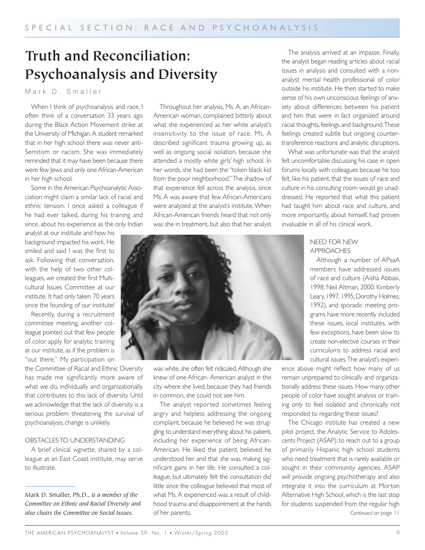# **Truth and Reconciliation: Psychoanalysis and Diversity**

Mark D. Smaller

When I think of psychoanalysis and race, I often think of a conversation 33 years ago during the Black Action Movement strike at the University of Michigan. A student remarked that in her high school there was never anti-Semitism or racism. She was immediately reminded that it may have been because there were few lews and only one African-American in her high school.

Some in the American Psychoanalytic Association might claim a similar lack of racial and ethnic tension. I once asked a colleague if he had ever talked, during his training and since, about his experience as the only Indian

analyst at our institute and how his background impacted his work. He smiled and said I was the first to ask. Following that conversation, with the help of two other colleagues, we created the first Multicultural Issues Committee at our institute. It had only taken 70 years since the founding of our institute!

Recently, during a recruitment committee meeting, another colleague pointed out that few people of color apply for analytic training at our institute, as if the problem is "out there." My participation on

the Committee of Racial and Ethnic Diversity has made me significantly more aware of what we do, individually and organizationally, that contributes to this lack of diversity. Until we acknowledge that the lack of diversity is a serious problem threatening the survival of psychoanalysis, change is unlikely.

#### OBSTACLES TO UNDERSTANDING

A brief clinical vignette, shared by a colleague at an East Coast institute, may serve to illustrate.

Mark D. Smaller, Ph.D., *is a member of the Committee on Ethnic and Racial Diversity and also chairs the Committee on Social Issues.*

Throughout her analysis, Ms. A, an African-American woman, complained bitterly about what she experienced as her white analyst's insensitivity to the issue of race. Ms. A described significant trauma growing up, as well as ongoing social isolation, because she attended a mostly white girls' high school. In her words, she had been the "token black kid from the poor neighborhood." The shadow of that experience fell across the analysis, since Ms. A was aware that few African-Americans were analyzed at the analyst's institute.When African-American friends heard that not only was she in treatment, but also that her analyst

The analysis arrived at an impasse. Finally, the analyst began reading articles about racial issues in analysis and consulted with a nonanalyst mental health professional of color outside his institute. He then started to make sense of his own unconscious feelings of anxiety about differences between his patient and him that were in fact organized around racial thoughts, feelings, and background.These feelings created subtle but ongoing countertransference reactions and analytic disruptions.

What was unfortunate was that the analyst felt uncomfortable discussing his case in open forums locally with colleagues because he too felt, like his patient, that the issues of race and culture in his consulting room would go unaddressed. He reported that what this patient had taught him about race and culture, and more importantly, about himself, had proven invaluable in all of his clinical work.

# NEED FOR NEW APPROACHES

Although a number of APsaA members have addressed issues of race and culture (Aisha Abbasi, 1998; Neil Altman, 2000; Kimberly Leary, 1997, 1995; Dorothy Holmes, 1992), and sporadic meeting programs have more recently included these issues, local institutes, with few exceptions, have been slow to create non-elective courses in their curriculums to address racial and cultural issues.The analyst's experi-

ence above might reflect how many of us remain unprepared to clinically and organizationally address these issues. How many other people of color have sought analysis or training only to feel isolated and chronically not responded to regarding these issues?

The Chicago institute has created a new pilot project, the Analytic Service to Adolescents Project (ASAP), to reach out to a group of primarily Hispanic high school students who need treatment that is rarely available or sought in their community agencies. ASAP will provide ongoing psychotherapy and also integrate it into the curriculum at Morton Alternative High School, which is the last stop for students suspended from the regular high *Continued on page 11*



was white, she often felt ridiculed. Although she knew of one African- American analyst in the city where she lived, because they had friends in common, she could not see him.

The analyst reported sometimes feeling angry and helpless addressing the ongoing complaint, because he believed he was struggling to understand everything about his patient, including her experience of being African-American. He liked the patient, believed he understood her and that she was making significant gains in her life. He consulted a colleague, but ultimately felt the consultation did little since the colleague believed that most of what Ms. A experienced was a result of childhood trauma and disappointment at the hands of her parents.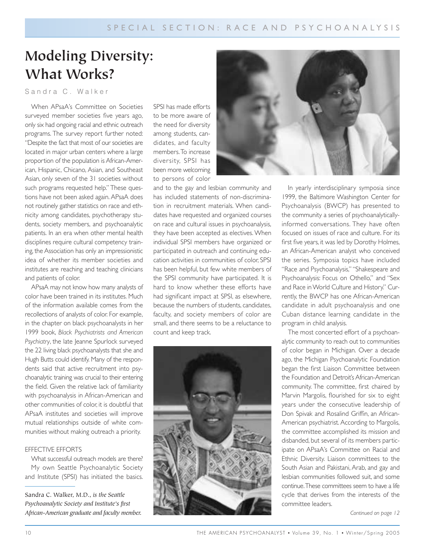# **Modeling Diversity: What Works?**

# Sandra C. Walker

When APsaA's Committee on Societies surveyed member societies five years ago, only six had ongoing racial and ethnic outreach programs. The survey report further noted: "Despite the fact that most of our societies are located in major urban centers where a large proportion of the population is African-American, Hispanic, Chicano, Asian, and Southeast Asian, only seven of the 31 societies without such programs requested help." These questions have not been asked again. APsaA does not routinely gather statistics on race and ethnicity among candidates, psychotherapy students, society members, and psychoanalytic patients. In an era when other mental health disciplines require cultural competency training, the Association has only an impressionistic idea of whether its member societies and institutes are reaching and teaching clinicians and patients of color.

APsaA may not know how many analysts of color have been trained in its institutes. Much of the information available comes from the recollections of analysts of color. For example, in the chapter on black psychoanalysts in her 1999 book, *Black Psychiatrists and American* Psychiatry, the late Jeanne Spurlock surveyed the 22 living black psychoanalysts that she and Hugh Butts could identify. Many of the respondents said that active recruitment into psychoanalytic training was crucial to their entering the field. Given the relative lack of familiarity with psychoanalysis in African-American and other communities of color, it is doubtful that APsaA institutes and societies will improve mutual relationships outside of white communities without making outreach a priority.

#### EFFECTIVE EFFORTS

What successful outreach models are there? My own Seattle Psychoanalytic Society and Institute (SPSI) has initiated the basics.

Sandra C. Walker, M.D., *is the Seattle Psychoanalytic Society and Institute's first African-American graduate and faculty member.* SPSI has made efforts to be more aware of the need for diversity among students, candidates, and faculty members.To increase diversity, SPSI has been more welcoming to persons of color

and to the gay and lesbian community and has included statements of non-discrimination in recruitment materials. When candidates have requested and organized courses on race and cultural issues in psychoanalysis, they have been accepted as electives. When individual SPSI members have organized or participated in outreach and continuing education activities in communities of color, SPSI has been helpful, but few white members of the SPSI community have participated. It is hard to know whether these efforts have had significant impact at SPSI, as elsewhere, because the numbers of students, candidates, faculty, and society members of color are small, and there seems to be a reluctance to count and keep track.





In yearly interdisciplinary symposia since 1999, the Baltimore Washington Center for Psychoanalysis (BWCP) has presented to the community a series of psychoanalyticallyinformed conversations. They have often focused on issues of race and culture. For its first five years, it was led by Dorothy Holmes, an African-American analyst who conceived the series. Symposia topics have included "Race and Psychoanalysis," "Shakespeare and Psychoanalysis: Focus on Othello," and "Sex and Race in World Culture and History." Currently, the BWCP has one African-American candidate in adult psychoanalysis and one Cuban distance learning candidate in the program in child analysis.

The most concerted effort of a psychoanalytic community to reach out to communities of color began in Michigan. Over a decade ago, the Michigan Psychoanalytic Foundation began the first Liaison Committee between the Foundation and Detroit's African-American community. The committee, first chaired by Marvin Margolis, flourished for six to eight years under the consecutive leadership of Don Spivak and Rosalind Griffin, an African-American psychiatrist. According to Margolis, the committee accomplished its mission and disbanded, but several of its members participate on APsaA's Committee on Racial and Ethnic Diversity. Liaison committees to the South Asian and Pakistani, Arab, and gay and lesbian communities followed suit, and some continue.These committees seem to have a life cycle that derives from the interests of the committee leaders.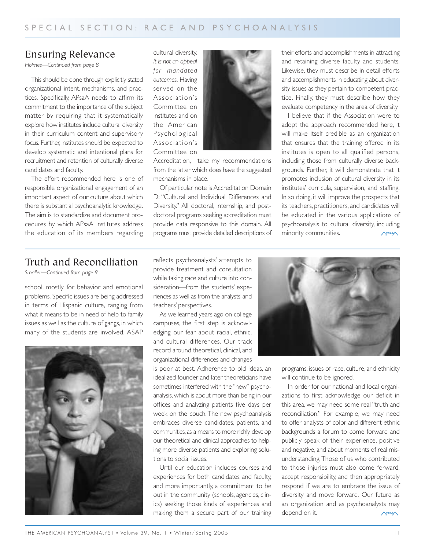# Ensuring Relevance

*Holmes—Continued from page 8*

This should be done through explicitly stated organizational intent, mechanisms, and practices. Specifically, APsaA needs to affirm its commitment to the importance of the subject matter by requiring that it systematically explore how institutes include cultural diversity in their curriculum content and supervisory focus. Further, institutes should be expected to develop systematic and intentional plans for recruitment and retention of culturally diverse candidates and faculty.

The effort recommended here is one of responsible organizational engagement of an important aspect of our culture about which there is substantial psychoanalytic knowledge. The aim is to standardize and document procedures by which APsaA institutes address the education of its members regarding

cultural diversity. *It is not an appeal for mandated outcomes.* Having served on the Association's Committee on Institutes and on the American Psychological Association's Committee on



Accreditation, I take my recommendations from the latter which does have the suggested mechanisms in place.

Of particular note is Accreditation Domain D: "Cultural and Individual Differences and Diversity." All doctoral, internship, and postdoctoral programs seeking accreditation must provide data responsive to this domain. All programs must provide detailed descriptions of their efforts and accomplishments in attracting and retaining diverse faculty and students. Likewise, they must describe in detail efforts and accomplishments in educating about diversity issues as they pertain to competent practice. Finally, they must describe how they evaluate competency in the area of diversity

I believe that if the Association were to adopt the approach recommended here, it will make itself credible as an organization that ensures that the training offered in its institutes is open to all qualified persons, including those from culturally diverse backgrounds. Further, it will demonstrate that it promotes inclusion of cultural diversity in its institutes' curricula, supervision, and staffing. In so doing, it will improve the prospects that its teachers, practitioners, and candidates will be educated in the various applications of psychoanalysis to cultural diversity, including minority communities. APSA

# Truth and Reconciliation

*Smaller—Continued from page 9*

school, mostly for behavior and emotional problems. Specific issues are being addressed in terms of Hispanic culture, ranging from what it means to be in need of help to family issues as well as the culture of gangs, in which many of the students are involved. ASAP



reflects psychoanalysts' attempts to provide treatment and consultation while taking race and culture into consideration—from the students' experiences as well as from the analysts' and teachers' perspectives.

As we learned years ago on college campuses, the first step is acknowledging our fear about racial, ethnic, and cultural differences. Our track record around theoretical, clinical, and organizational differences and changes

is poor at best. Adherence to old ideas, an idealized founder and later theoreticians have sometimes interfered with the "new" psychoanalysis, which is about more than being in our offices and analyzing patients five days per week on the couch. The new psychoanalysis embraces diverse candidates, patients, and communities, as a means to more richly develop our theoretical and clinical approaches to helping more diverse patients and exploring solutions to social issues.

Until our education includes courses and experiences for both candidates and faculty, and more importantly, a commitment to be out in the community (schools, agencies, clinics) seeking those kinds of experiences and making them a secure part of our training



programs, issues of race, culture, and ethnicity will continue to be ignored.

In order for our national and local organizations to first acknowledge our deficit in this area, we may need some real "truth and reconciliation." For example, we may need to offer analysts of color and different ethnic backgrounds a forum to come forward and publicly speak of their experience, positive and negative, and about moments of real misunderstanding.Those of us who contributed to those injuries must also come forward, accept responsibility, and then appropriately respond if we are to embrace the issue of diversity and move forward. Our future as an organization and as psychoanalysts may depend on it. **APSAA**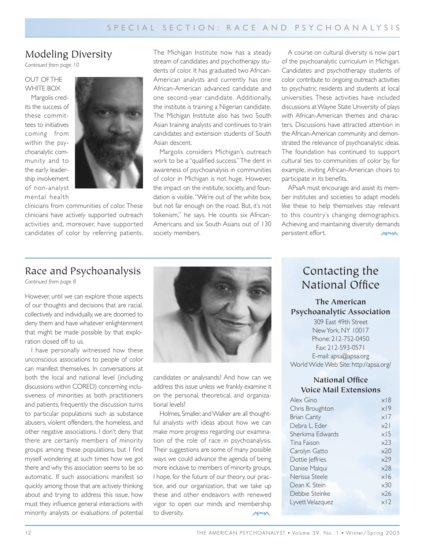# Modeling Diversity

*Continued from page 10*

# OUT OF THE WHITE BOX

Margolis credits the success of these committees to initiatives coming from within the psychoanalytic community and to the early leadership involvement of non-analyst mental health



clinicians from communities of color. These clinicians have actively supported outreach activities and, moreover, have supported candidates of color by referring patients. The Michigan Institute now has a steady stream of candidates and psychotherapy students of color. It has graduated two African-American analysts and currently has one African-American advanced candidate and one second-year candidate. Additionally, the institute is training a Nigerian candidate. The Michigan Institute also has two South Asian training analysts and continues to train candidates and extension students of South Asian descent.

Margolis considers Michigan's outreach work to be a "qualified success." The dent in awareness of psychoanalysis in communities of color in Michigan is not huge. However, the impact on the institute, society, and foundation is visible. "We're out of the white box, but not far enough on the road. But, it's not tokenism," he says. He counts six African-Americans and six South Asians out of 130 society members.

A course on cultural diversity is now part of the psychoanalytic curriculum in Michigan. Candidates and psychotherapy students of color contribute to ongoing outreach activities to psychiatric residents and students at local universities. These activities have included discussions at Wayne State University of plays with African-American themes and characters. Discussions have attracted attention in the African-American community and demonstrated the relevance of psychoanalytic ideas. The foundation has continued to support cultural ties to communities of color by, for example, inviting African-American choirs to participate in its benefits.

APsaA must encourage and assist its member institutes and societies to adapt models like these to help themselves stay relevant to this country's changing demographics. Achieving and maintaining diversity demands persistent effort. **APSAA** 

# Race and Psychoanalysis

*Continued from page 8*

However, until we can explore those aspects of our thoughts and decisions that are racial, collectively and individually, we are doomed to deny them and have whatever enlightenment that might be made possible by that exploration closed off to us.

I have personally witnessed how these unconscious associations to people of color can manifest themselves. In conversations at both the local and national level (including discussions within CORED) concerning inclusiveness of minorities as both practitioners and patients, frequently the discussion turns to particular populations such as substance abusers, violent offenders, the homeless, and other negative associations. I don't deny that there are certainly members of minority groups among these populations, but I find myself wondering at such times how we got there and why this association seems to be so automatic. If such associations manifest so quickly among those that are actively thinking about and trying to address this issue, how must they influence general interactions with minority analysts or evaluations of potential



candidates or analysands? And how can we address this issue unless we frankly examine it on the personal, theoretical, and organizational levels?

Holmes, Smaller, and Walker are all thoughtful analysts with ideas about how we can make more progress regarding our examination of the role of race in psychoanalysis. Their suggestions are some of many possible ways we could advance the agenda of being more inclusive to members of minority groups. I hope, for the future of our theory, our practice, and our organization, that we take up these and other endeavors with renewed vigor to open our minds and membership to diversity. **APSA** 

# Contacting the National Office

**The American Psychoanalytic Association**  309 East 49th Street New York, NY 10017 Phone: 212-752-0450 Fax: 212-593-0571 E-mail: apsa@apsa.org

World Wide Web Site: http://apsa.org/

# **National Office Voice Mail Extensions**

| Alex Gino          | $\times$ 8      |
|--------------------|-----------------|
| Chris Broughton    | x19             |
| <b>Brian Canty</b> | x <sub>17</sub> |
| Debra L. Eder      | x71             |
| Sherkima Edwards   | $\times$ 15     |
| Tina Faison        | x23             |
| Carolyn Gatto      | x20             |
| Dottie Jeffries    | x29             |
| Danise Malqui      | $\times$ 28     |
| Nerissa Steele     | x16             |
| Dean K. Stein      | $\times$ 30     |
| Debbie Steinke     | x26             |
| Lyvett Velazquez   | x12             |
|                    |                 |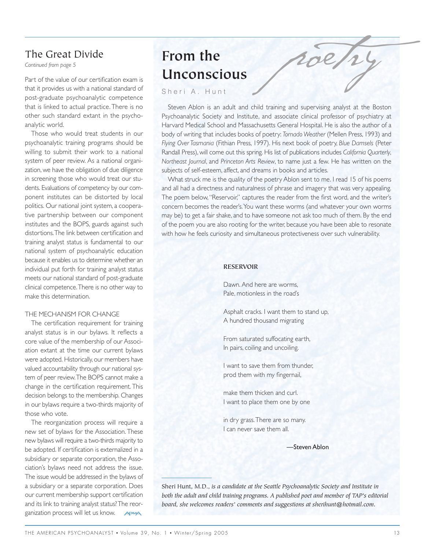# The Great Divide

*Continued from page 5*

Part of the value of our certification exam is that it provides us with a national standard of post-graduate psychoanalytic competence that is linked to actual practice. There is no other such standard extant in the psychoanalytic world.

Those who would treat students in our psychoanalytic training programs should be willing to submit their work to a national system of peer review. As a national organization, we have the obligation of due diligence in screening those who would treat our students. Evaluations of competency by our component institutes can be distorted by local politics. Our national joint system, a cooperative partnership between our component institutes and the BOPS, guards against such distortions.The link between certification and training analyst status is fundamental to our national system of psychoanalytic education because it enables us to determine whether an individual put forth for training analyst status meets our national standard of post-graduate clinical competence.There is no other way to make this determination.

#### THE MECHANISM FOR CHANGE

The certification requirement for training analyst status is in our bylaws. It reflects a core value of the membership of our Association extant at the time our current bylaws were adopted. Historically, our members have valued accountability through our national system of peer review.The BOPS cannot make a change in the certification requirement. This decision belongs to the membership. Changes in our bylaws require a two-thirds majority of those who vote.

The reorganization process will require a new set of bylaws for the Association. These new bylaws will require a two-thirds majority to be adopted. If certification is externalized in a subsidiary or separate corporation, the Association's bylaws need not address the issue. The issue would be addressed in the bylaws of a subsidiary or a separate corporation. Does our current membership support certification and its link to training analyst status? The reorganization process will let us know. **APSA** 

# **From the Unconscious**

Sheri A. Hunt

Steven Ablon is an adult and child training and supervising analyst at the Boston Psychoanalytic Society and Institute, and associate clinical professor of psychiatry at Harvard Medical School and Massachusetts General Hospital. He is also the author of a body of writing that includes books of poetry: *Tornado Weather* (Mellen Press, 1993) and *Flying Over Tasmania* (Fithian Press, 1997). His next book of poetry, *Blue Damsels* (Peter Randall Press), will come out this spring. His list of publications includes *California Quarterly*, *Northeast Journal*, and *Princeton Arts Review*, to name just a few. He has written on the subjects of self-esteem, affect, and dreams in books and articles.

poetry

What struck me is the quality of the poetry Ablon sent to me. I read 15 of his poems and all had a directness and naturalness of phrase and imagery that was very appealing. The poem below, "Reservoir," captures the reader from the first word, and the writer's concern becomes the reader's.You want these worms (and whatever your own worms may be) to get a fair shake, and to have someone not ask too much of them. By the end of the poem you are also rooting for the writer, because you have been able to resonate with how he feels curiosity and simultaneous protectiveness over such vulnerability.

### **RESERVOIR**

Dawn. And here are worms, Pale, motionless in the road's

Asphalt cracks. I want them to stand up, A hundred thousand migrating

From saturated suffocating earth, In pairs, coiling and uncoiling.

I want to save them from thunder, prod them with my fingernail,

make them thicken and curl. I want to place them one by one

in dry grass.There are so many. I can never save them all.

—Steven Ablon

Sheri Hunt, M.D., *is a candidate at the Seattle Psychoanalytic Society and Institute in both the adult and child training programs. A published poet and member of TAP's editorial board, she welcomes readers' comments and suggestions at sherihunt@hotmail.com.*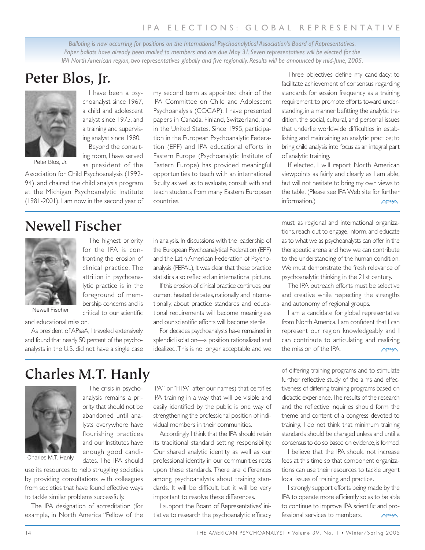# IPA ELECTIONS: GLOBAL REPRESENTATIVE

*Balloting is now occurring for positions on the International Psychoanalytical Association's Board of Representatives.* Paper ballots have already been mailed to members and are due May 31. Seven representatives will be elected for the *IPA North American region, two representatives globally and five regionally. Results will be announced by mid-June, 2005.*

# **Peter Blos, Jr.**



Peter Blos, Jr.

Association for Child Psychoanalysis (1992- 94), and chaired the child analysis program at the Michigan Psychoanalytic Institute (1981-2001). I am now in the second year of

I have been a psychoanalyst since 1967, a child and adolescent analyst since 1975, and a training and supervising analyst since 1980. Beyond the consulting room, I have served as president of the

The highest priority for the IPA is confronting the erosion of clinical practice. The attrition in psychoanalytic practice is in the foreground of membership concerns and is critical to our scientific my second term as appointed chair of the IPA Committee on Child and Adolescent Psychoanalysis (COCAP). I have presented papers in Canada, Finland, Switzerland, and in the United States. Since 1995, participation in the European Psychoanalytic Federation (EPF) and IPA educational efforts in Eastern Europe (Psychoanalytic Institute of Eastern Europe) has provided meaningful opportunities to teach with an international faculty as well as to evaluate, consult with and teach students from many Eastern European countries.

Three objectives define my candidacy: to facilitate achievement of consensus regarding standards for session frequency as a training requirement; to promote efforts toward understanding, in a manner befitting the analytic tradition, the social, cultural, and personal issues that underlie worldwide difficulties in establishing and maintaining an analytic practice; to bring child analysis into focus as an integral part of analytic training.

If elected, I will report North American viewpoints as fairly and clearly as I am able, but will not hesitate to bring my own views to the table. (Please see IPA Web site for further information.) **APSAA** 

# **Newell Fischer**



Newell Fischer

and educational mission.

As president of APsaA, I traveled extensively and found that nearly 50 percent of the psychoanalysts in the U.S. did not have a single case

in analysis. In discussions with the leadership of the European Psychoanalytical Federation (EPF) and the Latin American Federation of Psychoanalysis (FEPAL), it was clear that these practice statistics also reflected an international picture.

If this erosion of clinical practice continues, our current heated debates, nationally and internationally, about practice standards and educational requirements will become meaningless and our scientific efforts will become sterile.

For decades psychoanalysts have remained in splendid isolation—a position rationalized and idealized.This is no longer acceptable and we

must, as regional and international organizations, reach out to engage, inform, and educate as to what we as psychoanalysts can offer in the therapeutic arena and how we can contribute to the understanding of the human condition. We must demonstrate the fresh relevance of psychoanalytic thinking in the 21st century.

The IPA outreach efforts must be selective and creative while respecting the strengths and autonomy of regional groups.

I am a candidate for global representative from North America. I am confident that I can represent our region knowledgeably and I can contribute to articulating and realizing the mission of the IPA. APSA

# **Charles M.T. Hanly**



analysis remains a priority that should not be abandoned until analysts everywhere have flourishing practices and our Institutes have enough good candidates. The IPA should

The crisis in psycho-

use its resources to help struggling societies by providing consultations with colleagues from societies that have found effective ways to tackle similar problems successfully.

The IPA designation of accreditation (for example, in North America "Fellow of the IPA" or "FIPA" after our names) that certifies IPA training in a way that will be visible and easily identified by the public is one way of strengthening the professional position of individual members in their communities.

Accordingly, I think that the IPA should retain its traditional standard setting responsibility. Our shared analytic identity as well as our professional identity in our communities rests upon these standards. There are differences among psychoanalysts about training standards. It will be difficult, but it will be very important to resolve these differences.

I support the Board of Representatives' initiative to research the psychoanalytic efficacy of differing training programs and to stimulate further reflective study of the aims and effectiveness of differing training programs based on didactic experience.The results of the research and the reflective inquiries should form the theme and content of a congress devoted to training. I do not think that minimum training standards should be changed unless and until a consensus to do so,based on evidence,is formed.

I believe that the IPA should not increase fees at this time so that component organizations can use their resources to tackle urgent local issues of training and practice.

I strongly support efforts being made by the IPA to operate more efficiently so as to be able to continue to improve IPA scientific and professional services to members. **APSAA**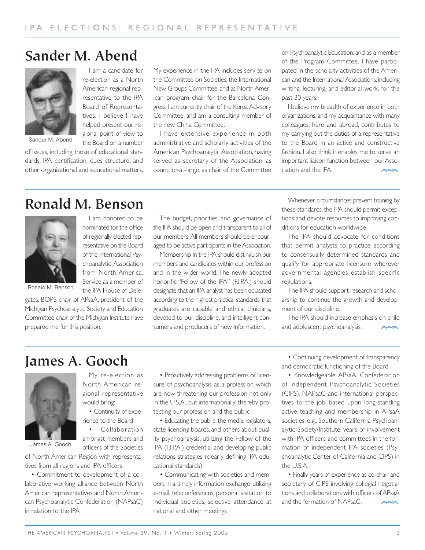# **Sander M. Abend**

I am a candidate for re-election as a North American regional representative to the IPA Board of Representatives. I believe I have helped present our regional point of view to the Board on a number



Sander M. Abend

of issues, including those of educational standards, IPA certification, dues structure, and other organizational and educational matters. My experience in the IPA includes service on the Committee on Societies, the International New Groups Committee, and as North American program chair for the Barcelona Congress. I am currently chair of the Korea Advisory Committee, and am a consulting member of the new China Committee.

I have extensive experience in both administrative and scholarly activities of the American Psychoanalytic Association, having served as secretary of the Association, as councilor-at-large, as chair of the Committee

on Psychoanalytic Education, and as a member of the Program Committee. I have participated in the scholarly activities of the American and the International Associations, including writing, lecturing, and editorial work, for the past 30 years.

I believe my breadth of experience in both organizations, and my acquaintance with many colleagues, here and abroad, contributes to my carrying out the duties of a representative to the Board in an active and constructive fashion. I also think it enables me to serve an important liaison function between our Association and the IPA. **APSA** 

# **Ronald M. Benson**



I am honored to be nominated for the office of regionally elected representative on the Board of the International Psychoanalytic Association from North America. Service as a member of the IPA House of Dele-

My re-election as North American regional representative

• Continuity of experience to the Board • Collaboration amongst members and

Ronald M. Benson

gates, BOPS chair of APsaA, president of the Michigan Psychoanalytic Society, and Education Committee chair of the Michigan Institute have prepared me for this position.

The budget, priorities, and governance of the IPA should be open and transparent to all of our members. All members should be encouraged to be active participants in the Association.

Membership in the IPA should distinguish our members and candidates within our profession and in the wider world. The newly adopted honorific "Fellow of the IPA" (F.I.P.A.) should designate that an IPA analyst has been educated according to the highest practical standards, that graduates are capable and ethical clinicians, devoted to our discipline, and intelligent consumers and producers of new information.

Whenever circumstances prevent training by these standards, the IPA should permit exceptions and devote resources to improving conditions for education worldwide.

The IPA should advocate for conditions that permit analysts to practice according to consensually determined standards and qualify for appropriate licensure wherever governmental agencies establish specific regulations.

The IPA should support research and scholarship to continue the growth and development of our discipline.

The IPA should increase emphasis on child and adolescent psychoanalysis. **ADSAA** 

# **James A. Gooch**



James A. Gooch

officers of the Societies of North American Region with representatives from all regions and IPA officers

would bring:

• Commitment to development of a collaborative working alliance between North American representatives and North American Psychoanalytic Confederation (NAPsaC) in relation to the IPA

• Proactively addressing problems of licensure of psychoanalysis as a profession which are now threatening our profession not only in the U.S.A., but internationally; thereby protecting our profession and the public

• Educating the public, the media, legislators, state licensing boards, and others about quality psychoanalysis, utilizing the Fellow of the IPA (F.I.P.A.) credential and developing public relations strategies (clearly defining IPA educational standards)

• Communicating with societies and members in a timely information exchange, utilizing e-mail, teleconferences, personal visitation to individual societies, selective attendance at national and other meetings

• Continuing development of transparency and democratic functioning of the Board

• Knowledgeable APsaA, Confederation of Independent Psychoanalytic Societies (CIPS), NAPsaC and international perspectives to the job, based upon long-standing active teaching and membership in APsaA societies, e.g., Southern California Psychoanalytic Society/Institute; years of involvement with IPA officers and committees in the formation of independent IPA societies (Psychoanalytic Center of California and CIPS) in the U.S.A.

• Finally, years of experience as co-chair and secretary of CIPS involving collegial negotiations and collaborations with officers of APsaA and the formation of NAPsaC. **APSAA**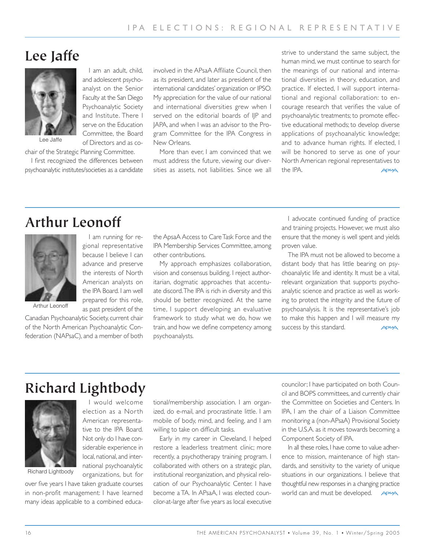# **Lee Jaffe**



Lee Jaffe

chair of the Strategic Planning Committee.

I first recognized the differences between psychoanalytic institutes/societies as a candidate

I am an adult, child, and adolescent psychoanalyst on the Senior Faculty at the San Diego Psychoanalytic Society and Institute. There I serve on the Education Committee, the Board of Directors and as co-

I am running for regional representative because I believe I can advance and preserve the interests of North American analysts on the IPA Board. I am well prepared for this role, as past president of the

involved in the APsaA Affiliate Council, then as its president, and later as president of the international candidates' organization or IPSO. My appreciation for the value of our national and international diversities grew when I served on the editorial boards of IJP and JAPA, and when I was an advisor to the Program Committee for the IPA Congress in New Orleans.

More than ever, I am convinced that we must address the future, viewing our diversities as assets, not liabilities. Since we all strive to understand the same subject, the human mind, we must continue to search for the meanings of our national and international diversities in theory, education, and practice. If elected, I will support international and regional collaboration: to encourage research that verifies the value of psychoanalytic treatments; to promote effective educational methods; to develop diverse applications of psychoanalytic knowledge; and to advance human rights. If elected, I will be honored to serve as one of your North American regional representatives to the IPA. **APSA** 

# **Arthur Leonoff**



Arthur Leonoff

Canadian Psychoanalytic Society, current chair of the North American Psychoanalytic Confederation (NAPsaC), and a member of both

the ApsaA Access to Care Task Force and the IPA Membership Services Committee, among other contributions.

My approach emphasizes collaboration, vision and consensus building. I reject authoritarian, dogmatic approaches that accentuate discord.The IPA is rich in diversity and this should be better recognized. At the same time, I support developing an evaluative framework to study what we do, how we train, and how we define competency among psychoanalysts.

I advocate continued funding of practice and training projects. However, we must also ensure that the money is well spent and yields proven value.

The IPA must not be allowed to become a distant body that has little bearing on psychoanalytic life and identity. It must be a vital, relevant organization that supports psychoanalytic science and practice as well as working to protect the integrity and the future of psychoanalysis. It is the representative's job to make this happen and I will measure my success by this standard.  $PSA$ 

# **Richard Lightbody**



I would welcome election as a North American representative to the IPA Board. Not only do I have considerable experience in local, national, and international psychoanalytic organizations, but for

over five years I have taken graduate courses in non-profit management: I have learned many ideas applicable to a combined educational/membership association. I am organized, do e-mail, and procrastinate little. I am mobile of body, mind, and feeling, and I am willing to take on difficult tasks.

Early in my career in Cleveland, I helped restore a leaderless treatment clinic; more recently, a psychotherapy training program. I collaborated with others on a strategic plan, institutional reorganization, and physical relocation of our Psychoanalytic Center. I have become a TA. In APsaA, I was elected councilor-at-large after five years as local executive

councilor; I have participated on both Council and BOPS committees, and currently chair the Committee on Societies and Centers. In IPA, I am the chair of a Liaison Committee monitoring a (non-APsaA) Provisional Society in the U.S.A. as it moves towards becoming a Component Society of IPA.

In all these roles, I have come to value adherence to mission, maintenance of high standards, and sensitivity to the variety of unique situations in our organizations. I believe that thoughtful new responses in a changing practice world can and must be developed. **APSSA**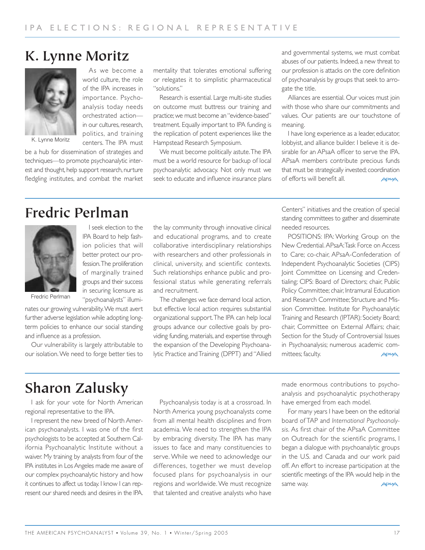# **K. Lynne Moritz**



K. Lynne Moritz

be a hub for dissemination of strategies and techniques—to promote psychoanalytic interest and thought, help support research, nurture fledgling institutes, and combat the market mentality that tolerates emotional suffering or relegates it to simplistic pharmaceutical "solutions."

Research is essential. Large multi-site studies on outcome must buttress our training and practice; we must become an "evidence-based" treatment. Equally important to IPA funding is the replication of potent experiences like the Hampstead Research Symposium.

We must become politically astute.The IPA must be a world resource for backup of local psychoanalytic advocacy. Not only must we seek to educate and influence insurance plans and governmental systems, we must combat abuses of our patients. Indeed, a new threat to our profession is attacks on the core definition of psychoanalysis by groups that seek to arrogate the title.

Alliances are essential. Our voices must join with those who share our commitments and values. Our patients are our touchstone of meaning.

I have long experience as a leader, educator, lobbyist, and alliance builder. I believe it is desirable for an APsaA officer to serve the IPA. APsaA members contribute precious funds that must be strategically invested; coordination of efforts will benefit all. **APSAA** 

# **Fredric Perlman**



I seek election to the IPA Board to help fashion policies that will better protect our profession.The proliferation of marginally trained groups and their success in securing licensure as "psychoanalysts" illumi-

As we become a world culture, the role of the IPA increases in importance. Psychoanalysis today needs orchestrated action in our cultures, research, politics, and training centers. The IPA must

Fredric Perlman

nates our growing vulnerability.We must avert further adverse legislation while adopting longterm policies to enhance our social standing and influence as a profession.

Our vulnerability is largely attributable to our isolation. We need to forge better ties to the lay community through innovative clinical and educational programs, and to create collaborative interdisciplinary relationships with researchers and other professionals in clinical, university, and scientific contexts. Such relationships enhance public and professional status while generating referrals and recruitment.

The challenges we face demand local action, but effective local action requires substantial organizational support.The IPA can help local groups advance our collective goals by providing funding, materials, and expertise through the expansion of the Developing Psychoanalytic Practice and Training (DPPT) and "Allied

Centers" initiatives and the creation of special standing committees to gather and disseminate needed resources.

POSITIONS: IPA: Working Group on the New Credential. APsaA:Task Force on Access to Care; co-chair, APsaA-Confederation of Independent Psychoanalytic Societies (CIPS) Joint Committee on Licensing and Credentialing; CIPS: Board of Directors; chair, Public Policy Committee; chair, Intramural Education and Research Committee; Structure and Mission Committee. Institute for Psychoanalytic Training and Research (IPTAR): Society Board; chair, Committee on External Affairs; chair, Section for the Study of Controversial Issues in Psychoanalysis; numerous academic committees; faculty. **ADSAA** 

# **Sharon Zalusky**

I ask for your vote for North American regional representative to the IPA.

I represent the new breed of North American psychoanalysts. I was one of the first psychologists to be accepted at Southern California Psychoanalytic Institute without a waiver. My training by analysts from four of the IPA institutes in Los Angeles made me aware of our complex psychoanalytic history and how it continues to affect us today. I know I can represent our shared needs and desires in the IPA.

Psychoanalysis today is at a crossroad. In North America young psychoanalysts come from all mental health disciplines and from academia. We need to strengthen the IPA by embracing diversity. The IPA has many issues to face and many constituencies to serve. While we need to acknowledge our differences, together we must develop focused plans for psychoanalysis in our regions and worldwide. We must recognize that talented and creative analysts who have

made enormous contributions to psychoanalysis and psychoanalytic psychotherapy have emerged from each model.

For many years I have been on the editorial board of TAP and *International Psychoanalysis*. As first chair of the APsaA Committee on Outreach for the scientific programs, I began a dialogue with psychoanalytic groups in the U.S. and Canada and our work paid off. An effort to increase participation at the scientific meetings of the IPA would help in the same way. **APSAA**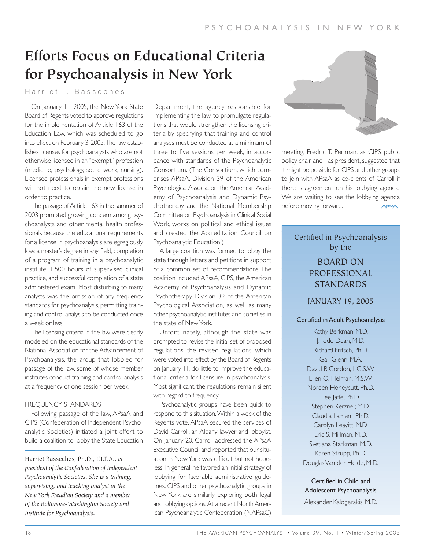# **Efforts Focus on Educational Criteria for Psychoanalysis in New York**

# Harriet I. Basseches

On January 11, 2005, the New York State Board of Regents voted to approve regulations for the implementation of Article 163 of the Education Law, which was scheduled to go into effect on February 3, 2005.The law establishes licenses for psychoanalysts who are not otherwise licensed in an "exempt" profession (medicine, psychology, social work, nursing). Licensed professionals in exempt professions will not need to obtain the new license in order to practice.

The passage of Article 163 in the summer of 2003 prompted growing concern among psychoanalysts and other mental health professionals because the educational requirements for a license in psychoanalysis are egregiously low: a master's degree in any field, completion of a program of training in a psychoanalytic institute, 1,500 hours of supervised clinical practice, and successful completion of a state administered exam. Most disturbing to many analysts was the omission of any frequency standards for psychoanalysis, permitting training and control analysis to be conducted once a week or less.

The licensing criteria in the law were clearly modeled on the educational standards of the National Association for the Advancement of Psychoanalysis, the group that lobbied for passage of the law, some of whose member institutes conduct training and control analysis at a frequency of one session per week.

### FREQUENCY STANDARDS

Following passage of the law, APsaA and CIPS (Confederation of Independent Psychoanalytic Societies) initiated a joint effort to build a coalition to lobby the State Education

Department, the agency responsible for implementing the law, to promulgate regulations that would strengthen the licensing criteria by specifying that training and control analyses must be conducted at a minimum of three to five sessions per week, in accordance with standards of the Psychoanalytic Consortium. (The Consortium, which comprises APsaA, Division 39 of the American Psychological Association, the American Academy of Psychoanalysis and Dynamic Psychotherapy, and the National Membership Committee on Psychoanalysis in Clinical Social Work, works on political and ethical issues and created the Accreditation Council on Psychoanalytic Education.)

A large coalition was formed to lobby the state through letters and petitions in support of a common set of recommendations. The coalition included APsaA, CIPS, the American Academy of Psychoanalysis and Dynamic Psychotherapy, Division 39 of the American Psychological Association, as well as many other psychoanalytic institutes and societies in the state of New York.

Unfortunately, although the state was prompted to revise the initial set of proposed regulations, the revised regulations, which were voted into effect by the Board of Regents on January 11, do little to improve the educational criteria for licensure in psychoanalysis. Most significant, the regulations remain silent with regard to frequency.

Psychoanalytic groups have been quick to respond to this situation.Within a week of the Regents vote, APsaA secured the services of David Carroll, an Albany lawyer and lobbyist. On January 20, Carroll addressed the APsaA Executive Council and reported that our situation in New York was difficult but not hopeless. In general, he favored an initial strategy of lobbying for favorable administrative guidelines. CIPS and other psychoanalytic groups in New York are similarly exploring both legal and lobbying options. At a recent North American Psychoanalytic Confederation (NAPsaC)



meeting, Fredric T. Perlman, as CIPS public policy chair, and I, as president, suggested that it might be possible for CIPS and other groups to join with APsaA as co-clients of Carroll if there is agreement on his lobbying agenda. We are waiting to see the lobbying agenda before moving forward.

# Certified in Psychoanalysis by the

# BOARD ON PROFESSIONAL **STANDARDS**

JANUARY 19, 2005

### Certified in Adult Psychoanalysis

Kathy Berkman, M.D. J.Todd Dean, M.D. Richard Fritsch, Ph.D. Gail Glenn, M.A. David P. Gordon, L.C.S.W. Ellen O. Helman, M.S.W. Noreen Honeycutt, Ph.D. Lee Jaffe, Ph.D. Stephen Kerzner, M.D. Claudia Lament, Ph.D. Carolyn Leavitt, M.D. Eric S. Millman, M.D. Svetlana Starkman, M.D. Karen Strupp, Ph.D. Douglas Van der Heide, M.D.

Certified in Child and Adolescent Psychoanalysis Alexander Kalogerakis, M.D.

Harriet Basseches, Ph.D., F.I.P.A., *is president of the Confederation of Independent Psychoanalytic Societies. She is a training, supervising, and teaching analyst at the New York Freudian Society and a member of the Baltimore-Washington Society and Institute for Psychoanalysis.*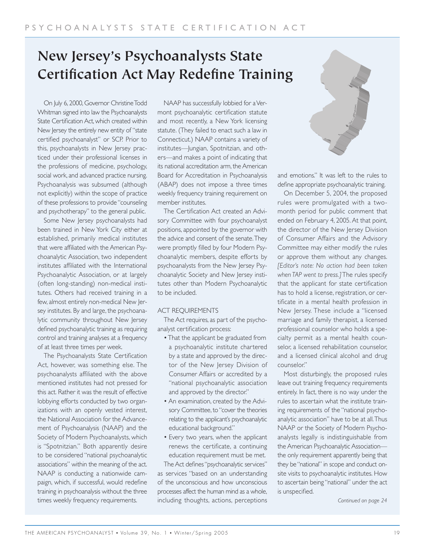# **New Jersey's Psychoanalysts State Certification Act May Redefine Training**

On July 6, 2000, Governor Christine Todd Whitman signed into law the Psychoanalysts State Certification Act, which created within New Jersey the entirely new entity of "state certified psychoanalyst" or SCP. Prior to this, psychoanalysts in New Jersey practiced under their professional licenses in the professions of medicine, psychology, social work, and advanced practice nursing. Psychoanalysis was subsumed (although not explicitly) within the scope of practice of these professions to provide "counseling and psychotherapy" to the general public.

Some New Jersey psychoanalysts had been trained in New York City either at established, primarily medical institutes that were affiliated with the American Psychoanalytic Association, two independent institutes affiliated with the International Psychoanalytic Association, or at largely (often long-standing) non-medical institutes. Others had received training in a few, almost entirely non-medical New Jersey institutes. By and large, the psychoanalytic community throughout New Jersey defined psychoanalytic training as requiring control and training analyses at a frequency of at least three times per week.

The Psychoanalysts State Certification Act, however, was something else. The psychoanalysts affiliated with the above mentioned institutes had not pressed for this act. Rather it was the result of effective lobbying efforts conducted by two organizations with an openly vested interest, the National Association for the Advancement of Psychoanalysis (NAAP) and the Society of Modern Psychoanalysts, which is "Spotnitzian." Both apparently desire to be considered "national psychoanalytic associations" within the meaning of the act. NAAP is conducting a nationwide campaign, which, if successful, would redefine training in psychoanalysis without the three times weekly frequency requirements.

NAAP has successfully lobbied for a Vermont psychoanalytic certification statute and most recently, a New York licensing statute. (They failed to enact such a law in Connecticut.) NAAP contains a variety of institutes—Jungian, Spotnitzian, and others—and makes a point of indicating that its national accreditation arm, the American Board for Accreditation in Psychoanalysis (ABAP) does not impose a three times weekly frequency training requirement on member institutes.

The Certification Act created an Advisory Committee with four psychoanalyst positions, appointed by the governor with the advice and consent of the senate.They were promptly filled by four Modern Psychoanalytic members, despite efforts by psychoanalysts from the New Jersey Psychoanalytic Society and New Jersey institutes other than Modern Psychoanalytic to be included.

### ACT REQUIREMENTS

The Act requires, as part of the psychoanalyst certification process:

- That the applicant be graduated from a psychoanalytic institute chartered by a state and approved by the director of the New Jersey Division of Consumer Affairs or accredited by a "national psychoanalytic association and approved by the director."
- An examination, created by the Advisory Committee, to "cover the theories relating to the applicant's psychoanalytic educational background."
- Every two years, when the applicant renews the certificate, a continuing education requirement must be met. The Act defines "psychoanalytic services"

as services "based on an understanding of the unconscious and how unconscious processes affect the human mind as a whole, including thoughts, actions, perceptions



and emotions." It was left to the rules to define appropriate psychoanalytic training.

On December 5, 2004, the proposed rules were promulgated with a twomonth period for public comment that ended on February 4, 2005. At that point, the director of the New Jersey Division of Consumer Affairs and the Advisory Committee may either modify the rules or approve them without any changes. *[Editor's note: No action had been taken when TAP went to press.]*The rules specify that the applicant for state certification has to hold a license, registration, or certificate in a mental health profession in New Jersey. These include a "licensed marriage and family therapist, a licensed professional counselor who holds a specialty permit as a mental health counselor, a licensed rehabilitation counselor, and a licensed clinical alcohol and drug counselor."

Most disturbingly, the proposed rules leave out training frequency requirements entirely. In fact, there is no way under the rules to ascertain what the institute training requirements of the "national psychoanalytic association" have to be at all.Thus NAAP or the Society of Modern Psychoanalysts legally is indistinguishable from the American Psychoanalytic Association the only requirement apparently being that they be "national" in scope and conduct onsite visits to psychoanalytic institutes. How to ascertain being "national" under the act is unspecified.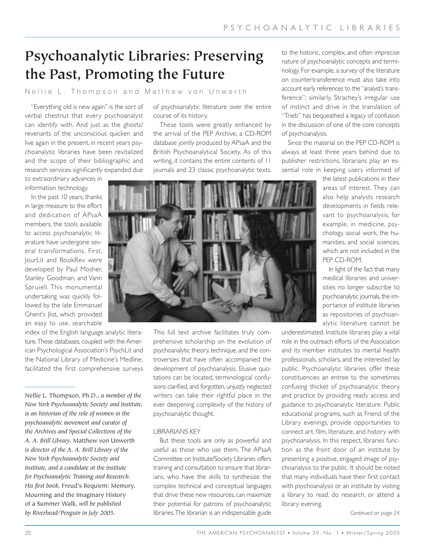# **Psychoanalytic Libraries: Preserving the Past, Promoting the Future**

# Nellie L. Thompson and Matthew von Unwerth

"Everything old is new again" is the sort of verbal chestnut that every psychoanalyst can identify with. And just as the ghosts/ revenants of the unconscious quicken and live again in the present, in recent years psychoanalytic libraries have been revitalized and the scope of their bibliographic and research services significantly expanded due

to extraordinary advances in information technology.

In the past 10 years, thanks in large measure to the effort and dedication of APsaA members, the tools available to access psychoanalytic literature have undergone several transformations. First, JourLit and BookRev were developed by Paul Mosher, Stanley Goodman, and Vann Spruiell. This monumental undertaking was quickly followed by the late Emmanuel Ghent's Jlist, which provided an easy to use, searchable

index of the English language analytic literature.These databases, coupled with the American Psychological Association's PsychLit and the National Library of Medicine's Medline, facilitated the first comprehensive surveys

Nellie L. Thompson, Ph.D., *a member of the New York Psychoanalytic Society and Institute, is an historian of the role of women in the psychoanalytic movement and curator of the Archives and Special Collections of the A. A. Brill Library.* Matthew von Unwerth *is director of the A. A. Brill Library of the New York Psychoanalytic Society and Institute, and a candidate at the institute for Psychoanalytic Training and Research. His first book,* Freud's Requiem: Memory, Mourning and the Imaginary History of a Summer Walk*, will be published by Riverhead/Penguin in July 2005.*

of psychoanalytic literature over the entire course of its history.

These tools were greatly enhanced by the arrival of the PEP Archive, a CD-ROM database jointly produced by APsaA and the British Psychoanalytical Society. As of this writing, it contains the entire contents of 11 journals and 23 classic psychoanalytic texts.

to the historic, complex, and often imprecise nature of psychoanalytic concepts and terminology. For example, a survey of the literature on countertransference must also take into account early references to the "analyst's transference"; similarly, Strachey's irregular use of instinct and drive in the translation of "Trieb" has bequeathed a legacy of confusion in the discussion of one of the core concepts of psychoanalysis.

Since the material on the PEP CD-ROM is always at least three years behind due to publisher restrictions, librarians play an essential role in keeping users informed of

> the latest publications in their areas of interest. They can also help analysts research developments in fields relevant to psychoanalysis, for example, in medicine, psychology, social work, the humanities, and social sciences, which are not included in the PEP CD-ROM.

> In light of the fact that many medical libraries and universities no longer subscribe to psychoanalytic journals, the importance of institute libraries as repositories of psychoanalytic literature cannot be

underestimated. Institute libraries play a vital role in the outreach efforts of the Association and its member institutes to mental health professionals, scholars, and the interested lay public. Psychoanalytic libraries offer these constituencies an entree to the sometimes confusing thicket of psychoanalytic theory and practice by providing ready access and guidance to psychoanalytic literature. Public educational programs, such as Friend of the Library evenings, provide opportunities to connect art, film, literature, and history with psychoanalysis. In this respect, libraries function as the front door of an institute by presenting a positive, engaged image of psychoanalysis to the public. It should be noted that many individuals have their first contact with psychoanalysis or an institute by visiting a library to read, do research, or attend a library evening.

*Continued on page 24*



This full text archive facilitates truly comprehensive scholarship on the evolution of psychoanalytic theory, technique, and the controversies that have often accompanied the development of psychoanalysis. Elusive quotations can be located, terminological confusions clarified, and forgotten, unjustly neglected writers can take their rightful place in the ever deepening complexity of the history of psychoanalytic thought.

### LIBRARIANS KEY

But these tools are only as powerful and useful as those who use them. The APsaA Committee on Institute/Society Libraries offers training and consultation to ensure that librarians, who have the skills to synthesize the complex technical and conceptual languages that drive these new resources, can maximize their potential for patrons of psychoanalytic libraries.The librarian is an indispensable guide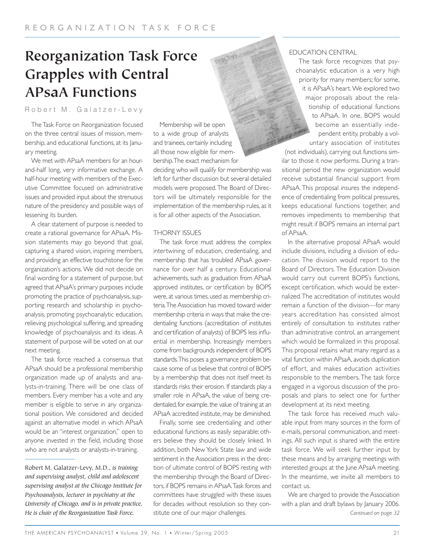# **Reorganization Task Force Grapples with Central APsaA Functions**

Robert M. Galatzer-Levy

The Task Force on Reorganization focused on the three central issues of mission, membership, and educational functions, at its January meeting.

We met with APsaA members for an hourand-half long, very informative exchange. A half-hour meeting with members of the Executive Committee focused on administrative issues and provided input about the strenuous nature of the presidency and possible ways of lessening its burden.

A clear statement of purpose is needed to create a rational governance for APsaA. Mission statements may go beyond that goal, capturing a shared vision, inspiring members, and providing an effective touchstone for the organization's actions. We did not decide on final wording for a statement of purpose, but agreed that APsaA's primary purposes include promoting the practice of psychoanalysis, supporting research and scholarship in psychoanalysis, promoting psychoanalytic education, relieving psychological suffering, and spreading knowledge of psychoanalysis and its ideas. A statement of purpose will be voted on at our next meeting.

The task force reached a consensus that APsaA should be a professional membership organization made up of analysts and analysts-in-training. There will be one class of members. Every member has a vote and any member is eligible to serve in any organizational position. We considered and decided against an alternative model in which APsaA would be an "interest organization," open to anyone invested in the field, including those who are not analysts or analysts-in-training.

Robert M. Galatzer-Levy, M.D., *is training and supervising analyst, child and adolescent supervising analyst at the Chicago Institute for Psychoanalysis, lecturer in psychiatry at the University of Chicago, and is in private practice.*

Membership will be open to a wide group of analysts and trainees, certainly including all those now eligible for membership.The exact mechanism for deciding who will qualify for membership was left for further discussion but several detailed models were proposed.The Board of Directors will be ultimately responsible for the implementation of the membership rules, as it is for all other aspects of the Association.

#### THORNY ISSUES

The task force must address the complex intertwining of education, credentialing, and membership that has troubled APsaA governance for over half a century. Educational achievements, such as graduation from APsaA approved institutes, or certification by BOPS were, at various times, used as membership criteria.The Association has moved toward wider membership criteria in ways that make the credentialing functions (accreditation of institutes and certification of analysts) of BOPS less influential in membership. Increasingly members come from backgrounds independent of BOPS standards.This poses a governance problem because some of us believe that control of BOPS by a membership that does not itself meet its standards risks their erosion. If standards play a smaller role in APsaA, the value of being credentialed, for example, the value of training at an APsaA accredited institute, may be diminished.

Finally, some see credentialing and other educational functions as easily separable; others believe they should be closely linked. In addition, both New York State law and wide sentiment in the Association press in the direction of ultimate control of BOPS resting with the membership through the Board of Directors, if BOPS remains in APsaA.Task forces and committees have struggled with these issues for decades without resolution so they constitute one of our major challenges. *He is chair of the Reorganization Task Force. Continued on page 32*

### EDUCATION CENTRAL

The task force recognizes that psychoanalytic education is a very high priority for many members; for some, it is APsaA's heart. We explored two major proposals about the relationship of educational functions to APsaA. In one, BOPS would become an essentially independent entity, probably a voluntary association of institutes

(not individuals), carrying out functions similar to those it now performs. During a transitional period the new organization would receive substantial financial support from APsaA. This proposal insures the independence of credentialing from political pressures, keeps educational functions together, and removes impediments to membership that might result if BOPS remains an internal part of APsaA.

In the alternative proposal APsaA would include divisions, including a division of education. The division would report to the Board of Directors. The Education Division would carry out current BOPS's functions, except certification, which would be externalized.The accreditation of institutes would remain a function of the division—for many years accreditation has consisted almost entirely of consultation to institutes rather than administrative control, an arrangement which would be formalized in this proposal. This proposal retains what many regard as a vital function within APsaA, avoids duplication of effort, and makes education activities responsible to the members. The task force engaged in a vigorous discussion of the proposals and plans to select one for further development at its next meeting.

The task force has received much valuable input from many sources in the form of e-mails, personal communication, and meetings. All such input is shared with the entire task force. We will seek further input by these means and by arranging meetings with interested groups at the June APsaA meeting. In the meantime, we invite all members to contact us.

We are charged to provide the Association with a plan and draft bylaws by January 2006.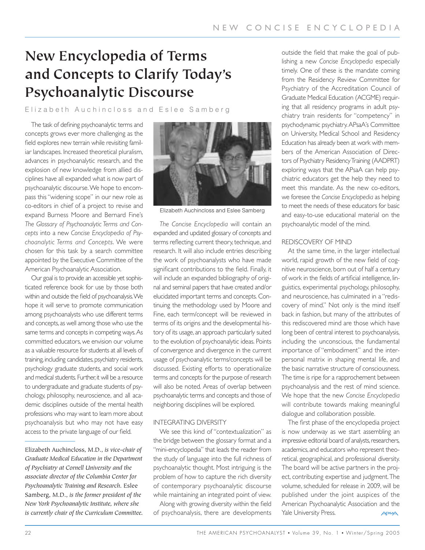# **New Encyclopedia of Terms and Concepts to Clarify Today's Psychoanalytic Discourse**

Elizabeth Auchincloss and Eslee Samberg

The task of defining psychoanalytic terms and concepts grows ever more challenging as the field explores new terrain while revisiting familiar landscapes. Increased theoretical pluralism, advances in psychoanalytic research, and the explosion of new knowledge from allied disciplines have all expanded what is now part of psychoanalytic discourse.We hope to encompass this "widening scope" in our new role as co-editors in chief of a project to revise and expand Burness Moore and Bernard Fine's *The Glossary of Psychoanalytic Terms and Concepts* into a new *Concise Encyclopedia of Psychoanalytic Terms and Concepts*. We were chosen for this task by a search committee appointed by the Executive Committee of the American Psychoanalytic Association.

Our goal is to provide an accessible yet sophisticated reference book for use by those both within and outside the field of psychoanalysis.We hope it will serve to promote communication among psychoanalysts who use different terms and concepts, as well among those who use the same terms and concepts in competing ways. As committed educators, we envision our volume as a valuable resource for students at all levels of training, including candidates, psychiatry residents, psychology graduate students, and social work and medical students. Further, it will be a resource to undergraduate and graduate students of psychology, philosophy, neuroscience, and all academic disciplines outside of the mental health professions who may want to learn more about psychoanalysis but who may not have easy access to the private language of our field.

Elizabeth Auchincloss, M.D., *is vice-chair of Graduate Medical Education in the Department of Psychiatry at Cornell University and the associate director of the Columbia Center for Psychoanalytic Training and Research.* Eslee Samberg, M.D., *is the former president of the New York Psychoanalytic Institute, where she is currently chair of the Curriculum Committee.*



Elizabeth Auchincloss and Eslee Samberg

*The Concise Encyclopedia* will contain an expanded and updated glossary of concepts and terms reflecting current theory, technique, and research. It will also include entries describing the work of psychoanalysts who have made significant contributions to the field. Finally, it will include an expanded bibliography of original and seminal papers that have created and/or elucidated important terms and concepts. Continuing the methodology used by Moore and Fine, each term/concept will be reviewed in terms of its origins and the developmental history of its usage, an approach particularly suited to the evolution of psychoanalytic ideas. Points of convergence and divergence in the current usage of psychoanalytic terms/concepts will be discussed. Existing efforts to operationalize terms and concepts for the purpose of research will also be noted. Areas of overlap between psychoanalytic terms and concepts and those of neighboring disciplines will be explored.

#### INTEGRATING DIVERSITY

We see this kind of "contextualization" as the bridge between the glossary format and a "mini-encyclopedia" that leads the reader from the study of language into the full richness of psychoanalytic thought. Most intriguing is the problem of how to capture the rich diversity of contemporary psychoanalytic discourse while maintaining an integrated point of view.

Along with growing diversity within the field of psychoanalysis, there are developments outside the field that make the goal of publishing a new *Concise Encyclopedia* especially timely. One of these is the mandate coming from the Residency Review Committee for Psychiatry of the Accreditation Council of Graduate Medical Education (ACGME) requiring that all residency programs in adult psychiatry train residents for "competency" in psychodynamic psychiatry. APsaA's Committee on University, Medical School and Residency Education has already been at work with members of the American Association of Directors of Psychiatry Residency Training (AADPRT) exploring ways that the APsaA can help psychiatric educators get the help they need to meet this mandate. As the new co-editors, we foresee the *Concise Encyclopedia* as helping to meet the needs of these educators for basic and easy-to-use educational material on the psychoanalytic model of the mind.

#### REDISCOVERY OF MIND

At the same time, in the larger intellectual world, rapid growth of the new field of cognitive neuroscience, born out of half a century of work in the fields of artificial intelligence, linguistics, experimental psychology, philosophy, and neuroscience, has culminated in a "rediscovery of mind." Not only is the mind itself back in fashion, but many of the attributes of this rediscovered mind are those which have long been of central interest to psychoanalysis, including the unconscious, the fundamental importance of "embodiment" and the interpersonal matrix in shaping mental life, and the basic narrative structure of consciousness. The time is ripe for a rapprochement between psychoanalysis and the rest of mind science. We hope that the new *Concise Encyclopedia* will contribute towards making meaningful dialogue and collaboration possible.

The first phase of the encyclopedia project is now underway as we start assembling an impressive editorial board of analysts, researchers, academics, and educators who represent theoretical, geographical, and professional diversity. The board will be active partners in the project, contributing expertise and judgment.The volume, scheduled for release in 2009, will be published under the joint auspices of the American Psychoanalytic Association and the Yale University Press. **APSA** 

22 THE AMERICAN PSYCHOANALYST • Volume 39, No. 1 • Winter/Spring 2005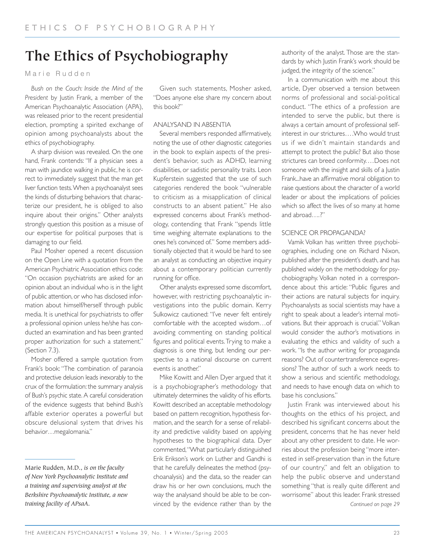# **The Ethics of Psychobiography**

Marie Rudden

*Bush on the Couch: Inside the Mind of the President* by Justin Frank, a member of the American Psychoanalytic Association (APA), was released prior to the recent presidential election, prompting a spirited exchange of opinion among psychoanalysts about the ethics of psychobiography.

A sharp division was revealed. On the one hand, Frank contends: "If a physician sees a man with jaundice walking in public, he is correct to immediately suggest that the man get liver function tests.When a psychoanalyst sees the kinds of disturbing behaviors that characterize our president, he is obliged to also inquire about their origins." Other analysts strongly question this position as a misuse of our expertise for political purposes that is damaging to our field.

Paul Mosher opened a recent discussion on the Open Line with a quotation from the American Psychiatric Association ethics code: "On occasion psychiatrists are asked for an opinion about an individual who is in the light of public attention, or who has disclosed information about himself/herself through public media. It is unethical for psychiatrists to offer a professional opinion unless he/she has conducted an examination and has been granted proper authorization for such a statement." (Section 7.3).

Mosher offered a sample quotation from Frank's book: "The combination of paranoia and protective delusion leads inexorably to the crux of the formulation: the summary analysis of Bush's psychic state. A careful consideration of the evidence suggests that behind Bush's affable exterior operates a powerful but obscure delusional system that drives his behavior…megalomania."

Given such statements, Mosher asked, "Does anyone else share my concern about this book?"

# ANALYSAND IN ABSENTIA

Several members responded affirmatively, noting the use of other diagnostic categories in the book to explain aspects of the president's behavior, such as ADHD, learning disabilities, or sadistic personality traits. Leon Kupferstein suggested that the use of such categories rendered the book "vulnerable to criticism as a misapplication of clinical constructs to an absent patient." He also expressed concerns about Frank's methodology, contending that Frank "spends little time weighing alternate explanations to the ones he's convinced of." Some members additionally objected that it would be hard to see an analyst as conducting an objective inquiry about a contemporary politician currently running for office.

Other analysts expressed some discomfort, however, with restricting psychoanalytic investigations into the public domain. Kerry Sulkowicz cautioned: "I've never felt entirely comfortable with the accepted wisdom…of avoiding commenting on standing political figures and political events.Trying to make a diagnosis is one thing, but lending our perspective to a national discourse on current events is another."

Mike Kowitt and Allen Dyer argued that it is a psychobiographer's methodology that ultimately determines the validity of his efforts. Kowitt described an acceptable methodology based on pattern recognition, hypothesis formation, and the search for a sense of reliability and predictive validity based on applying hypotheses to the biographical data. Dyer commented,"What particularly distinguished Erik Erikson's work on Luther and Gandhi is that he carefully delineates the method (psychoanalysis) and the data, so the reader can draw his or her own conclusions, much the way the analysand should be able to be convinced by the evidence rather than by the

authority of the analyst. Those are the standards by which Justin Frank's work should be judged, the integrity of the science."

In a communication with me about this article, Dyer observed a tension between norms of professional and social-political conduct. "The ethics of a profession are intended to serve the public, but there is always a certain amount of professional selfinterest in our strictures….Who would trust us if we didn't maintain standards and attempt to protect the public? But also those strictures can breed conformity.…Does not someone with the insight and skills of a Justin Frank...have an affirmative moral obligation to raise questions about the character of a world leader or about the implications of policies which so affect the lives of so many at home and abroad….?"

# SCIENCE OR PROPAGANDA?

Vamik Volkan has written three psychobiographies, including one on Richard Nixon, published after the president's death, and has published widely on the methodology for psychobiography. Volkan noted in a correspondence about this article: "Public figures and their actions are natural subjects for inquiry. Psychoanalysts as social scientists may have a right to speak about a leader's internal motivations. But their approach is crucial." Volkan would consider the author's motivations in evaluating the ethics and validity of such a work. "Is the author writing for propaganda reasons? Out of countertransference expressions? The author of such a work needs to show a serious and scientific methodology, and needs to have enough data on which to base his conclusions."

Justin Frank was interviewed about his thoughts on the ethics of his project, and described his significant concerns about the president, concerns that he has never held about any other president to date. He worries about the profession being "more interested in self-preservation than in the future of our country," and felt an obligation to help the public observe and understand something "that is really quite different and worrisome" about this leader. Frank stressed *Continued on page 29*

Marie Rudden, M.D., *is on the faculty of New York Psychoanalytic Institute and a training and supervising analyst at the Berkshire Psychoanalytic Institute, a new training facility of APsaA.*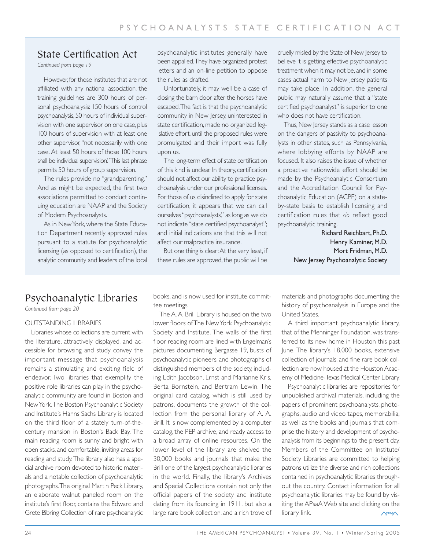# State Certification Act

*Continued from page 19*

However, for those institutes that are not affiliated with any national association, the training guidelines are 300 hours of personal psychoanalysis: 150 hours of control psychoanalysis, 50 hours of individual supervision with one supervisor on one case, plus 100 hours of supervision with at least one other supervisor,"not necessarily with one case. At least 50 hours of those 100 hours shall be individual supervision." This last phrase permits 50 hours of group supervision.

The rules provide no "grandparenting." And as might be expected, the first two associations permitted to conduct continuing education are NAAP and the Society of Modern Psychoanalysts.

As in New York, where the State Education Department recently approved rules pursuant to a statute for psychoanalytic licensing (as opposed to certification), the analytic community and leaders of the local psychoanalytic institutes generally have been appalled.They have organized protest letters and an on-line petition to oppose the rules as drafted.

Unfortunately, it may well be a case of closing the barn door after the horses have escaped.The fact is that the psychoanalytic community in New Jersey, uninterested in state certification, made no organized legislative effort, until the proposed rules were promulgated and their import was fully upon us.

The long-term effect of state certification of this kind is unclear. In theory, certification should not affect our ability to practice psychoanalysis under our professional licenses. For those of us disinclined to apply for state certification, it appears that we can call ourselves "psychoanalysts," as long as we do not indicate "state certified psychoanalyst"; and initial indications are that this will not affect our malpractice insurance.

But one thing *is* clear:At the very least, if these rules are approved, the public will be

cruelly misled by the State of New Jersey to believe it is getting effective psychoanalytic treatment when it may not be, and in some cases actual harm to New Jersey patients may take place. In addition, the general public may naturally assume that a "state certified psychoanalyst" is superior to one who does not have certification.

Thus, New Jersey stands as a case lesson on the dangers of passivity to psychoanalysts in other states, such as Pennsylvania, where lobbying efforts by NAAP are focused. It also raises the issue of whether a proactive nationwide effort should be made by the Psychoanalytic Consortium and the Accreditation Council for Psychoanalytic Education (ACPE) on a stateby-state basis to establish licensing and certification rules that *do* reflect good psychoanalytic training.

> Richard Reichbart, Ph.D. Henry Kaminer, M.D. Mort Fridman, M.D. New Jersey Psychoanalytic Society

# Psychoanalytic Libraries

*Continued from page 20*

### OUTSTANDING LIBRARIES

Libraries whose collections are current with the literature, attractively displayed, and accessible for browsing and study convey the important message that psychoanalysis remains a stimulating and exciting field of endeavor. Two libraries that exemplify the positive role libraries can play in the psychoanalytic community are found in Boston and New York.The Boston Psychoanalytic Society and Institute's Hanns Sachs Library is located on the third floor of a stately turn-of-thecentury mansion in Boston's Back Bay. The main reading room is sunny and bright with open stacks, and comfortable, inviting areas for reading and study.The library also has a special archive room devoted to historic materials and a notable collection of psychoanalytic photographs.The original Martin Peck Library, an elaborate walnut paneled room on the institute's first floor, contains the Edward and Grete Bibring Collection of rare psychoanalytic books, and is now used for institute committee meetings.

The A. A. Brill Library is housed on the two lower floors of The New York Psychoanalytic Society and Institute. The walls of the first floor reading room are lined with Engelman's pictures documenting Bergasse 19, busts of psychoanalytic pioneers, and photographs of distinguished members of the society, including Edith Jacobson, Ernst and Marianne Kris, Berta Bornstein, and Bertram Lewin. The original card catalog, which is still used by patrons, documents the growth of the collection from the personal library of A. A. Brill. It is now complemented by a computer catalog, the PEP archive, and ready access to a broad array of online resources. On the lower level of the library are shelved the 30,000 books and journals that make the Brill one of the largest psychoanalytic libraries in the world. Finally, the library's Archives and Special Collections contain not only the official papers of the society and institute dating from its founding in 1911, but also a large rare book collection, and a rich trove of materials and photographs documenting the history of psychoanalysis in Europe and the United States.

A third important psychoanalytic library, that of the Menninger Foundation, was transferred to its new home in Houston this past June. The library's 18,000 books, extensive collection of journals, and fine rare book collection are now housed at the Houston Academy of Medicine-Texas Medical Center Library.

Psychoanalytic libraries are repositories for unpublished archival materials, including the papers of prominent psychoanalysts, photographs, audio and video tapes, memorabilia, as well as the books and journals that comprise the history and development of psychoanalysis from its beginnings to the present day. Members of the Committee on Institute/ Society Libraries are committed to helping patrons utilize the diverse and rich collections contained in psychoanalytic libraries throughout the country. Contact information for all psychoanalytic libraries may be found by visiting the APsaA Web site and clicking on the library link. **APSAA**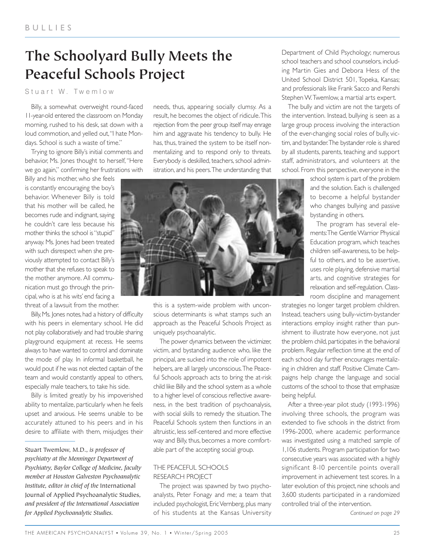# **The Schoolyard Bully Meets the Peaceful Schools Project**

# Stuart W. Twemlow

Billy, a somewhat overweight round-faced 11-year-old entered the classroom on Monday morning, rushed to his desk, sat down with a loud commotion, and yelled out,"I hate Mondays. School is such a waste of time."

Trying to ignore Billy's initial comments and behavior, Ms. Jones thought to herself,"Here we go again," confirming her frustrations with

Billy and his mother, who she feels is constantly encouraging the boy's behavior. Whenever Billy is told that his mother will be called, he becomes rude and indignant, saying he couldn't care less because his mother thinks the school is "stupid" anyway. Ms. Jones had been treated with such disrespect when she previously attempted to contact Billy's mother that she refuses to speak to the mother anymore. All communication must go through the principal, who is at his wits' end facing a threat of a lawsuit from the mother.

Billy, Ms. Jones notes, had a history of difficulty with his peers in elementary school. He did not play collaboratively and had trouble sharing playground equipment at recess. He seems always to have wanted to control and dominate the mode of play. In informal basketball, he would pout if he was not elected captain of the team and would constantly appeal to others, especially male teachers, to take his side.

Billy is limited greatly by his impoverished ability to mentalize, particularly when he feels upset and anxious. He seems unable to be accurately attuned to his peers and in his desire to affiliate with them, misjudges their

Stuart Twemlow, M.D., *is professor of psychiatry at the Menninger Department of Psychiatry, Baylor College of Medicine, faculty member at Houston Galveston Psychoanalytic Institute, editor in chief of the* International Journal of Applied Psychoanalytic Studies*, and president of the International Association for Applied Psychoanalytic Studies.*

needs, thus, appearing socially clumsy. As a result, he becomes the object of ridicule.This rejection from the peer group itself may enrage him and aggravate his tendency to bully. He has, thus, trained the system to be itself nonmentalizing and to respond only to threats. Everybody is deskilled, teachers, school administration, and his peers.The understanding that



this is a system-wide problem with unconscious determinants is what stamps such an approach as the Peaceful Schools Project as uniquely psychoanalytic.

The power dynamics between the victimizer, victim, and bystanding audience who, like the principal, are sucked into the role of impotent helpers, are all largely unconscious.The Peaceful Schools approach acts to bring the at-risk child like Billy and the school system as a whole to a higher level of conscious reflective awareness, in the best tradition of psychoanalysis, with social skills to remedy the situation. The Peaceful Schools system then functions in an altruistic, less self-centered and more effective way and Billy, thus, becomes a more comfortable part of the accepting social group.

### THE PEACEFUL SCHOOLS RESEARCH PROJECT

The project was spawned by two psychoanalysts, Peter Fonagy and me; a team that included psychologist, Eric Vernberg, plus many of his students at the Kansas University

Department of Child Psychology; numerous school teachers and school counselors, including Martin Gies and Debora Hess of the United School District 501, Topeka, Kansas; and professionals like Frank Sacco and Renshi Stephen W.Twemlow, a martial arts expert.

The bully and victim are not the targets of the intervention. Instead, bullying is seen as a large group process involving the interaction of the ever-changing social roles of bully, victim, and bystander.The bystander role is shared by all students, parents, teaching and support staff, administrators, and volunteers at the school. From this perspective, everyone in the

> school system is part of the problem and the solution. Each is challenged to become a helpful bystander who changes bullying and passive bystanding in others.

> The program has several elements:The Gentle Warrior Physical Education program, which teaches children self-awareness, to be helpful to others, and to be assertive, uses role playing, defensive martial arts, and cognitive strategies for relaxation and self-regulation. Classroom discipline and management

strategies no longer target problem children. Instead, teachers using bully-victim-bystander interactions employ insight rather than punishment to illustrate how everyone, not just the problem child, participates in the behavioral problem. Regular reflection time at the end of each school day further encourages mentalizing in children and staff. Positive Climate Campaigns help change the language and social customs of the school to those that emphasize being helpful.

After a three-year pilot study (1993-1996) involving three schools, the program was extended to five schools in the district from 1996-2000, where academic performance was investigated using a matched sample of 1,106 students. Program participation for two consecutive years was associated with a highly significant 8-10 percentile points overall improvement in achievement test scores. In a later evolution of this project, nine schools and 3,600 students participated in a randomized controlled trial of the intervention.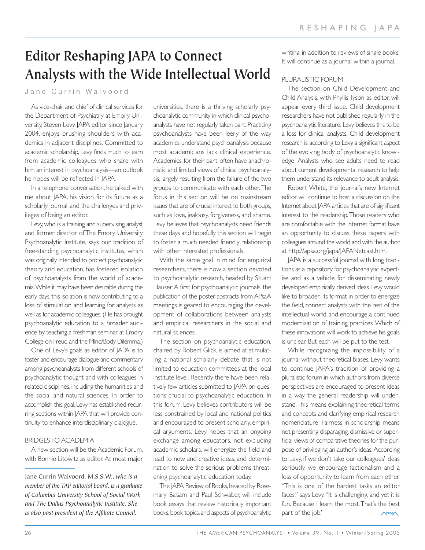# **Editor Reshaping JAPA to Connect Analysts with the Wide Intellectual World**

# Jane Currin Walvoord

As vice-chair and chief of clinical services for the Department of Psychiatry at Emory University, Steven Levy, JAPA editor since January 2004, enjoys brushing shoulders with academics in adjacent disciplines. Committed to academic scholarship, Levy finds much to learn from academic colleagues who share with him an interest in psychoanalysis—an outlook he hopes will be reflected in JAPA.

In a telephone conversation, he talked with me about JAPA, his vision for its future as a scholarly journal, and the challenges and privileges of being an editor.

Levy, who is a training and supervising analyst and former director of The Emory University Psychoanalytic Institute, says our tradition of free-standing psychoanalytic institutes, which was originally intended to protect psychoanalytic theory and education, has fostered isolation of psychoanalysts from the world of academia.While it may have been desirable during the early days, this isolation is now contributing to a loss of stimulation and learning for analysts as well as for academic colleagues. (He has brought psychoanalytic education to a broader audience by teaching a freshman seminar at Emory College on Freud and the Mind/Body Dilemma.)

One of Levy's goals as editor of JAPA is to foster and encourage dialogue and commentary among psychoanalysts from different schools of psychoanalytic thought and with colleagues in related disciplines, including the humanities and the social and natural sciences. In order to accomplish this goal, Levy has established recurring sections within JAPA that will provide continuity to enhance interdisciplinary dialogue.

### BRIDGES TO ACADEMIA

A new section will be the Academic Forum, with Bonnie Litowitz as editor. At most major

Jane Currin Walvoord, M.S.S.W., *who is a member of the TAP editorial board, is a graduate of Columbia University School of Social Work and The Dallas Psychoanalytic Institute. She is also past president of the Affiliate Council.*

universities, there is a thriving scholarly psychoanalytic community in which clinical psychoanalysts have not regularly taken part. Practicing psychoanalysts have been leery of the way academics understand psychoanalysis because most academicians lack clinical experience. Academics, for their part, often have anachronistic and limited views of clinical psychoanalysis, largely resulting from the failure of the two groups to communicate with each other.The focus in this section will be on mainstream issues that are of crucial interest to both groups, such as love, jealousy, forgiveness, and shame. Levy believes that psychoanalysts need friends these days and hopefully this section will begin to foster a much needed friendly relationship with other interested professionals.

With the same goal in mind for empirical researchers, there is now a section devoted to psychoanalytic research, headed by Stuart Hauser. A first for psychoanalytic journals, the publication of the poster abstracts from APsaA meetings is geared to encouraging the development of collaborations between analysts and empirical researchers in the social and natural sciences.

The section on psychoanalytic education, chaired by Robert Glick, is aimed at stimulating a national scholarly debate that is not limited to education committees at the local institute level. Recently, there have been relatively few articles submitted to JAPA on questions crucial to psychoanalytic education. In this forum, Levy believes contributors will be less constrained by local and national politics and encouraged to present scholarly, empirical arguments. Levy hopes that an ongoing exchange among educators, not excluding academic scholars, will energize the field and lead to new and creative ideas, and determination to solve the serious problems threatening psychoanalytic education today.

The JAPA Review of Books, headed by Rosemary Balsam and Paul Schwaber, will include book essays that review historically important books,book topics,and aspects of psychoanalytic

writing, in addition to reviews of single books. It will continue as a journal within a journal.

# PLURALISTIC FORUM

The section on Child Development and Child Analysis, with Phyllis Tyson as editor, will appear every third issue. Child development researchers have not published regularly in the psychoanalytic literature. Levy believes this to be a loss for clinical analysts. Child development research is, according to Levy, a significant aspect of the evolving body of psychoanalytic knowledge. Analysts who see adults need to read about current developmental research to help them understand its relevance to adult analysis.

Robert White, the journal's new Internet editor will continue to host a discussion on the Internet about JAPA articles that are of significant interest to the readership.Those readers who are comfortable with the Internet format have an opportunity to discuss these papers with colleagues around the world and with the author at http://apsa.org/japa/JAPANetcast.htm.

JAPA is a successful journal with long traditions as a repository for psychoanalytic expertise and as a vehicle for disseminating newly developed empirically derived ideas. Levy would like to broaden its format in order to energize the field, connect analysts with the rest of the intellectual world, and encourage a continued modernization of training practices. Which of these innovations will work to achieve his goals is unclear. But each will be put to the test.

While recognizing the impossibility of a journal without theoretical biases, Levy wants to continue JAPA's tradition of providing a pluralistic forum in which authors from diverse perspectives are encouraged to present ideas in a way the general readership will understand.This means explaining theoretical terms and concepts and clarifying empirical research nomenclature. Fairness in scholarship means not presenting disparaging, dismissive or superficial views of comparative theories for the purpose of privileging an author's ideas. According to Levy, if we don't take our colleagues' ideas seriously, we encourage factionalism and a loss of opportunity to learn from each other. "This is one of the hardest tasks an editor faces," says Levy. "It is challenging, and yet it is fun. Because I learn the most.That's the best part of the job." **APSAA**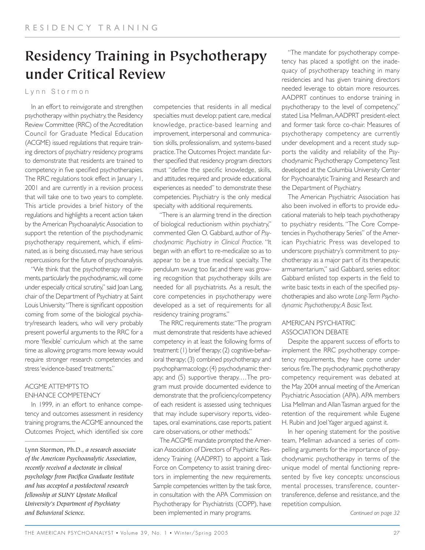# **Residency Training in Psychotherapy under Critical Review**

# L ynn Stormon

In an effort to reinvigorate and strengthen psychotherapy within psychiatry, the Residency Review Committee (RRC) of the Accreditation Council for Graduate Medical Education (ACGME) issued regulations that require training directors of psychiatry residency programs to demonstrate that residents are trained to competency in five specified psychotherapies. The RRC regulations took effect in January 1, 2001 and are currently in a revision process that will take one to two years to complete. This article provides a brief history of the regulations and highlights a recent action taken by the American Psychoanalytic Association to support the retention of the psychodynamic psychotherapy requirement, which, if eliminated, as is being discussed, may have serious repercussions for the future of psychoanalysis.

"We think that the psychotherapy requirements, particularly the psychodynamic, will come under especially critical scrutiny," said Joan Lang, chair of the Department of Psychiatry at Saint Louis University."There is significant opposition coming from some of the biological psychiatry/research leaders, who will very probably present powerful arguments to the RRC for a more 'flexible' curriculum which at the same time as allowing programs more leeway would require stronger research competencies and stress 'evidence-based' treatments."

# ACGME ATTEMPTS TO ENHANCE COMPETENCY

In 1999, in an effort to enhance competency and outcomes assessment in residency training programs, the ACGME announced the Outcomes Project, which identified six core competencies that residents in all medical specialties must develop: patient care, medical knowledge, practice-based learning and improvement, interpersonal and communication skills, professionalism, and systems-based practice.The Outcomes Project mandate further specified that residency program directors must "define the specific knowledge, skills, and attitudes required and provide educational experiences as needed" to demonstrate these competencies. Psychiatry is the only medical specialty with additional requirements.

"There is an alarming trend in the direction of biological reductionism within psychiatry," commented Glen O. Gabbard, author of *Psychodynamic Psychiatry in Clinical Practice*. "It began with an effort to re-medicalize so as to appear to be a true medical specialty. The pendulum swung too far, and there was growing recognition that psychotherapy skills are needed for all psychiatrists. As a result, the core competencies in psychotherapy were developed as a set of requirements for all residency training programs."

The RRC requirements state:"The program must demonstrate that residents have achieved competency in at least the following forms of treatment:(1) brief therapy;(2) cognitive-behavioral therapy; (3) combined psychotherapy and psychopharmacology; (4) psychodynamic therapy; and (5) supportive therapy.…The program must provide documented evidence to demonstrate that the proficiency/competency of each resident is assessed using techniques that may include supervisory reports, videotapes, oral examinations, case reports, patient care observations, or other methods."

The ACGME mandate prompted the American Association of Directors of Psychiatric Residency Training (AADPRT) to appoint a Task Force on Competency to assist training directors in implementing the new requirements. Sample competencies written by the task force, in consultation with the APA Commission on Psychotherapy for Psychiatrists (COPP), have been implemented in many programs.

"The mandate for psychotherapy competency has placed a spotlight on the inadequacy of psychotherapy teaching in many residencies and has given training directors needed leverage to obtain more resources. AADPRT continues to endorse training in psychotherapy to the level of competency," stated Lisa Mellman,AADPRT president-elect and former task force co-chair. Measures of psychotherapy competency are currently under development and a recent study supports the validity and reliability of the Psychodynamic Psychotherapy Competency Test developed at the Columbia University Center for Psychoanalytic Training and Research and the Department of Psychiatry.

The American Psychiatric Association has also been involved in efforts to provide educational materials to help teach psychotherapy to psychiatry residents. "The Core Competencies in Psychotherapy Series" of the American Psychiatric Press was developed to underscore psychiatry's commitment to psychotherapy as a major part of its therapeutic armamentarium," said Gabbard, series editor. Gabbard enlisted top experts in the field to write basic texts in each of the specified psychotherapies and also wrote *Long-Term Psychodynamic Psychotherapy;A Basic Text*.

### AMERICAN PSYCHIATRIC ASSOCIATION DEBATE

Despite the apparent success of efforts to implement the RRC psychotherapy competency requirements, they have come under serious fire.The psychodynamic psychotherapy competency requirement was debated at the May 2004 annual meeting of the American Psychiatric Association (APA). APA members Lisa Mellman and Allan Tasman argued for the retention of the requirement while Eugene H. Rubin and Joel Yager argued against it.

In her opening statement for the positive team, Mellman advanced a series of compelling arguments for the importance of psychodynamic psychotherapy in terms of the unique model of mental functioning represented by five key concepts: unconscious mental processes, transference, countertransference, defense and resistance, and the repetition compulsion.

Lynn Stormon, Ph.D., *a research associate of the American Psychoanalytic Association, recently received a doctorate in clinical psychology from Pacifica Graduate Institute and has accepted a postdoctoral research fellowship at SUNY Upstate Medical University's Department of Psychiatry and Behavioral Science.*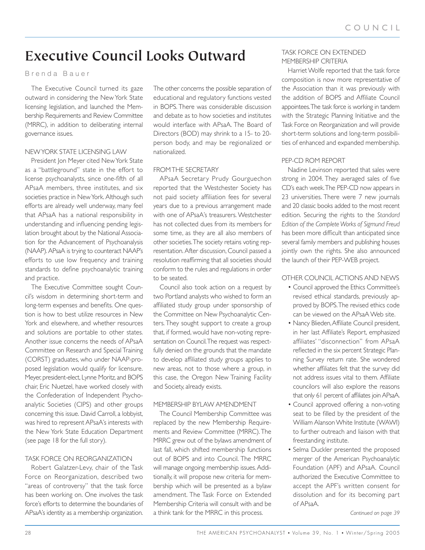# **Executive Council Looks Outward**

### Brenda Bauer

The Executive Council turned its gaze outward in considering the New York State licensing legislation, and launched the Membership Requirements and Review Committee (MRRC), in addition to deliberating internal governance issues.

### NEW YORK STATE LICENSING LAW

President Jon Meyer cited New York State as a "battleground" state in the effort to license psychoanalysts, since one-fifth of all APsaA members, three institutes, and six societies practice in New York. Although such efforts are already well underway, many feel that APsaA has a national responsibility in understanding and influencing pending legislation brought about by the National Association for the Advancement of Psychoanalysis (NAAP). APsaA is trying to counteract NAAP's efforts to use low frequency and training standards to define psychoanalytic training and practice.

The Executive Committee sought Council's wisdom in determining short-term and long-term expenses and benefits. One question is how to best utilize resources in New York and elsewhere, and whether resources and solutions are portable to other states. Another issue concerns the needs of APsaA Committee on Research and Special Training (CORST) graduates, who under NAAP-proposed legislation would qualify for licensure. Meyer, president-elect, Lynne Moritz, and BOPS chair, Eric Nuetzel, have worked closely with the Confederation of Independent Psychoanalytic Societies (CIPS) and other groups concerning this issue. David Carroll, a lobbyist, was hired to represent APsaA's interests with the New York State Education Department (see page 18 for the full story).

### TASK FORCE ON REORGANIZATION

Robert Galatzer-Levy, chair of the Task Force on Reorganization, described two "areas of controversy" that the task force has been working on. One involves the task force's efforts to determine the boundaries of APsaA's identity as a membership organization. The other concerns the possible separation of educational and regulatory functions vested in BOPS. There was considerable discussion and debate as to how societies and institutes would interface with APsaA. The Board of Directors (BOD) may shrink to a 15- to 20 person body, and may be regionalized or nationalized.

# FROM THE SECRETARY

APsaA Secretary Prudy Gourguechon reported that the Westchester Society has not paid society affiliation fees for several years due to a previous arrangement made with one of APsaA's treasurers. Westchester has not collected dues from its members for some time, as they are all also members of other societies.The society retains voting representation. After discussion, Council passed a resolution reaffirming that all societies should conform to the rules and regulations in order to be seated.

Council also took action on a request by two Portland analysts who wished to form an affiliated study group under sponsorship of the Committee on New Psychoanalytic Centers. They sought support to create a group that, if formed, would have non-voting representation on Council.The request was respectfully denied on the grounds that the mandate to develop affiliated study groups applies to new areas, not to those where a group, in this case, the Oregon New Training Facility and Society, already exists.

# MEMBERSHIP BYLAW AMENDMENT

The Council Membership Committee was replaced by the new Membership Requirements and Review Committee (MRRC).The MRRC grew out of the bylaws amendment of last fall, which shifted membership functions out of BOPS and into Council. The MRRC will manage ongoing membership issues. Additionally, it will propose new criteria for membership which will be presented as a bylaw amendment. The Task Force on Extended Membership Criteria will consult with and be a think tank for the MRRC in this process.

### TASK FORCE ON EXTENDED MEMBERSHIP CRITERIA

Harriet Wolfe reported that the task force composition is now more representative of the Association than it was previously with the addition of BOPS and Affiliate Council appointees.The task force is working in tandem with the Strategic Planning Initiative and the Task Force on Reorganization and will provide short-term solutions and long-term possibilities of enhanced and expanded membership.

### PEP-CD ROM REPORT

Nadine Levinson reported that sales were strong in 2004. They averaged sales of five CD's each week.The PEP-CD now appears in 23 universities. There were 7 new journals and 20 classic books added to the most recent edition. Securing the rights to the *Standard Edition of the Complete Works of Sigmund Freud* has been more difficult than anticipated since several family members and publishing houses jointly own the rights. She also announced the launch of their PEP-WEB project.

### OTHER COUNCIL ACTIONS AND NEWS

- Council approved the Ethics Committee's revised ethical standards, previously approved by BOPS.The revised ethics code can be viewed on the APsaA Web site.
- Nancy Blieden,Affiliate Council president, in her last Affiliate's Report, emphasized affiliates' "disconnection" from APsaA reflected in the six percent Strategic Planning Survey return rate. She wondered whether affiliates felt that the survey did not address issues vital to them. Affiliate councilors will also explore the reasons that only 61 percent of affiliates join APsaA.
- Council approved offering a non-voting seat to be filled by the president of the William Alanson White Institute (WAWI) to further outreach and liaison with that freestanding institute.
- Selma Duckler presented the proposed merger of the American Psychoanalytic Foundation (APF) and APsaA. Council authorized the Executive Committee to accept the APF's written consent for dissolution and for its becoming part of APsaA.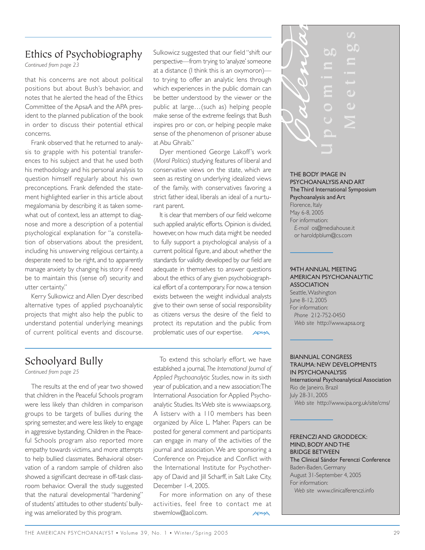# Ethics of Psychobiography

*Continued from page 23*

that his concerns are not about political positions but about Bush's behavior, and notes that he alerted the head of the Ethics Committee of the ApsaA and the APA president to the planned publication of the book in order to discuss their potential ethical concerns.

Frank observed that he returned to analysis to grapple with his potential transferences to his subject and that he used both his methodology and his personal analysis to question himself regularly about his own preconceptions. Frank defended the statement highlighted earlier in this article about megalomania by describing it as taken somewhat out of context, less an attempt to diagnose and more a description of a potential psychological explanation for "a constellation of observations about the president, including his unswerving religious certainty, a desperate need to be right, and to apparently manage anxiety by changing his story if need be to maintain this (sense of) security and utter certainty."

Kerry Sulkowicz and Allen Dyer described alternative types of applied psychoanalytic projects that might also help the public to understand potential underlying meanings of current political events and discourse. Sulkowicz suggested that our field "shift our perspective—from trying to 'analyze' someone at a distance (I think this is an oxymoron) to trying to offer an analytic lens through which experiences in the public domain can be better understood by the viewer or the public at large…(such as) helping people make sense of the extreme feelings that Bush inspires pro or con, or helping people make sense of the phenomenon of prisoner abuse at Abu Ghraib."

Dyer mentioned George Lakoff 's work (*Moral Politics*) studying features of liberal and conservative views on the state, which are seen as resting on underlying idealized views of the family, with conservatives favoring a strict father ideal, liberals an ideal of a nurturant parent.

It is clear that members of our field welcome such applied analytic efforts. Opinion is divided, however, on how much data might be needed to fully support a psychological analysis of a current political figure, and about whether the standards for validity developed by our field are adequate in themselves to answer questions about the ethics of any given psychobiographical effort of a contemporary. For now, a tension exists between the weight individual analysts give to their own sense of social responsibility as citizens versus the desire of the field to protect its reputation and the public from problematic uses of our expertise. **ADSAA** 

# Schoolyard Bully

*Continued from page 25*

The results at the end of year two showed that children in the Peaceful Schools program were less likely than children in comparison groups to be targets of bullies during the spring semester, and were less likely to engage in aggressive bystanding. Children in the Peaceful Schools program also reported more empathy towards victims, and more attempts to help bullied classmates. Behavioral observation of a random sample of children also showed a significant decrease in off-task classroom behavior. Overall the study suggested that the natural developmental "hardening" of students' attitudes to other students' bullying was ameliorated by this program.

To extend this scholarly effort, we have established a journal, *The International Journal of Applied Psychoanalytic Studies*, now in its sixth year of publication, and a new association:The International Association for Applied Psychoanalytic Studies. Its Web site is www.iaaps.org. A listserv with a 110 members has been organized by Alice L. Maher. Papers can be posted for general comment and participants can engage in many of the activities of the journal and association. We are sponsoring a Conference on Prejudice and Conflict with the International Institute for Psychotherapy of David and Jill Scharff, in Salt Lake City, December 1-4, 2005.

For more information on any of these activities, feel free to contact me at stwemlow@aol.com.



#### THE BODY IMAGE IN PSYCHOANALYSIS AND ART The Third International Symposium Psychoanalysis and Art Florence, Italy May 6-8, 2005 For information: *E-mail* os@mediahouse.it or haroldpblum@cs.com

#### 94TH ANNUAL MEETING AMERICAN PSYCHOANALYTIC ASSOCIATION

Seattle,Washington June 8-12, 2005 For information: *Phone* 212-752-0450 *Web site* http://www.apsa.org

#### BIANNUAL CONGRESS TRAUMA: NEW DEVELOPMENTS IN PSYCHOANALYSIS

International Psychoanalytical Association Rio de Janeiro, Brazil July 28-31, 2005 *Web site* http://www.ipa.org.uk/site/cms/

### FERENCZI AND GRODDECK: MIND, BODY AND THE BRIDGE BETWEEN

The Clinical Sándor Ferenczi Conference Baden-Baden, Germany August 31-September 4, 2005 For information: *Web site* www.clinicalferenczi.info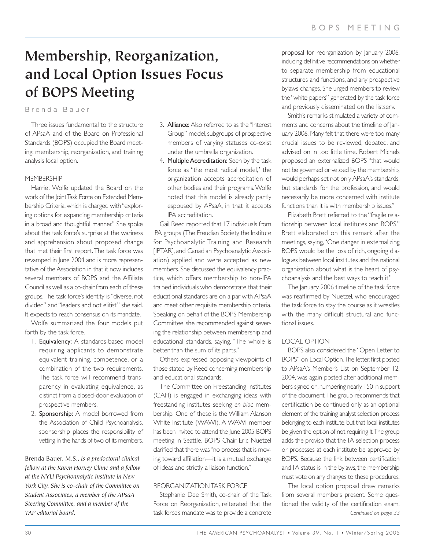# **Membership, Reorganization, and Local Option Issues Focus of BOPS Meeting**

Brenda Bauer

Three issues fundamental to the structure of APsaA and of the Board on Professional Standards (BOPS) occupied the Board meeting: membership, reorganization, and training analysis local option.

#### **MEMBERSHIP**

Harriet Wolfe updated the Board on the work of the Joint Task Force on Extended Membership Criteria, which is charged with "exploring options for expanding membership criteria in a broad and thoughtful manner." She spoke about the task force's surprise at the wariness and apprehension about proposed change that met their first report.The task force was revamped in June 2004 and is more representative of the Association in that it now includes several members of BOPS and the Affiliate Council as well as a co-chair from each of these groups.The task force's identity is "diverse, not divided" and "leaders and not elitist," she said. It expects to reach consensus on its mandate.

Wolfe summarized the four models put forth by the task force.

- 1. Equivalency: A standards-based model requiring applicants to demonstrate equivalent training, competence, or a combination of the two requirements. The task force will recommend transparency in evaluating equivalence, as distinct from a closed-door evaluation of prospective members.
- 2. Sponsorship: A model borrowed from the Association of Child Psychoanalysis, sponsorship places the responsibility of vetting in the hands of two of its members.
- 3. Alliance: Also referred to as the "Interest Group" model, subgroups of prospective members of varying statuses co-exist under the umbrella organization.
- 4. Multiple Accreditation: Seen by the task force as "the most radical model," the organization accepts accreditation of other bodies and their programs.Wolfe noted that this model is already partly espoused by APsaA, in that it accepts IPA accreditation.

Gail Reed reported that 17 individuals from IPA groups (The Freudian Society, the Institute for Psychoanalytic Training and Research [IPTAR], and Canadian Psychoanalytic Association) applied and were accepted as new members. She discussed the equivalency practice, which offers membership to non-IPA trained individuals who demonstrate that their educational standards are on a par with APsaA and meet other requisite membership criteria. Speaking on behalf of the BOPS Membership Committee, she recommended against severing the relationship between membership and educational standards, saying, "The whole is better than the sum of its parts."

Others expressed opposing viewpoints of those stated by Reed concerning membership and educational standards.

The Committee on Freestanding Institutes (CAFI) is engaged in exchanging ideas with freestanding institutes seeking *en bloc* membership. One of these is the William Alanson White Institute (WAWI). A WAWI member has been invited to attend the June 2005 BOPS meeting in Seattle. BOPS Chair Eric Nuetzel clarified that there was "no process that is moving toward affiliation—it is a mutual exchange of ideas and strictly a liaison function."

#### REORGANIZATION TASK FORCE

Stephanie Dee Smith, co-chair of the Task Force on Reorganization, reiterated that the task force's mandate was to provide a concrete

proposal for reorganization by January 2006, including definitive recommendations on whether to separate membership from educational structures and functions, and any prospective bylaws changes. She urged members to review the "white papers" generated by the task force and previously disseminated on the listserv.

Smith's remarks stimulated a variety of comments and concerns about the timeline of lanuary 2006. Many felt that there were too many crucial issues to be reviewed, debated, and advised on in too little time. Robert Michels proposed an externalized BOPS "that would not be governed or vetoed by the membership, would perhaps set not only APsaA's standards, but standards for the profession, and would necessarily be more concerned with institute functions than it is with membership issues."

Elizabeth Brett referred to the "fragile relationship between local institutes and BOPS." Brett elaborated on this remark after the meetings, saying,"One danger in externalizing BOPS would be the loss of rich, ongoing dialogues between local institutes and the national organization about what is the heart of psychoanalysis and the best ways to teach it."

The January 2006 timeline of the task force was reaffirmed by Nuetzel, who encouraged the task force to stay the course as it wrestles with the many difficult structural and functional issues.

### LOCAL OPTION

BOPS also considered the "Open Letter to BOPS" on Local Option.The letter, first posted to APsaA's Member's List on September 12, 2004, was again posted after additional members signed on, numbering nearly 150 in support of the document.The group recommends that certification be continued only as an optional element of the training analyst selection process belonging to each institute, but that local institutes be given the option of not requiring it.The group adds the proviso that the TA selection process or processes at each institute be approved by BOPS. Because the link between certification and TA status is in the bylaws, the membership must vote on any changes to these procedures.

The local option proposal drew remarks from several members present. Some questioned the validity of the certification exam. *Continued on page 33*

Brenda Bauer, M.S., *is a predoctoral clinical fellow at the Karen Horney Clinic and a fellow at the NYU Psychoanalytic Institute in New York City. She is co-chair of the Committee on Student Associates, a member of the APsaA Steering Committee, and a member of the TAP editorial board.*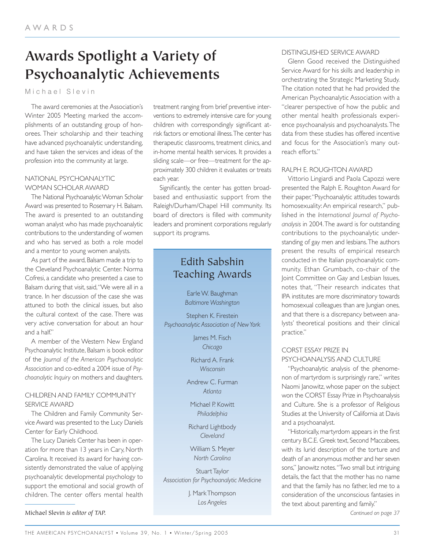# **Awards Spotlight a Variety of Psychoanalytic Achievements**

Michael Slevin

The award ceremonies at the Association's Winter 2005 Meeting marked the accomplishments of an outstanding group of honorees. Their scholarship and their teaching have advanced psychoanalytic understanding, and have taken the services and ideas of the profession into the community at large.

# NATIONAL PSYCHOANALYTIC WOMAN SCHOLAR AWARD

The National Psychoanalytic Woman Scholar Award was presented to Rosemary H. Balsam. The award is presented to an outstanding woman analyst who has made psychoanalytic contributions to the understanding of women and who has served as both a role model and a mentor to young women analysts.

As part of the award, Balsam made a trip to the Cleveland Psychoanalytic Center. Norma Cofresi, a candidate who presented a case to Balsam during that visit, said,"We were all in a trance. In her discussion of the case she was attuned to both the clinical issues, but also the cultural context of the case. There was very active conversation for about an hour and a half."

A member of the Western New England Psychoanalytic Institute, Balsam is book editor of the *Journal of the American Psychoanalytic Association* and co-edited a 2004 issue of *Psychoanalytic Inquiry* on mothers and daughters.

# CHILDREN AND FAMILY COMMUNITY SERVICE AWARD

The Children and Family Community Service Award was presented to the Lucy Daniels Center for Early Childhood.

The Lucy Daniels Center has been in operation for more than 13 years in Cary, North Carolina. It received its award for having consistently demonstrated the value of applying psychoanalytic developmental psychology to support the emotional and social growth of children. The center offers mental health

Michael Slevin *is editor of TAP.*

treatment ranging from brief preventive interventions to extremely intensive care for young children with correspondingly significant atrisk factors or emotional illness.The center has therapeutic classrooms, treatment clinics, and in-home mental health services. It provides a sliding scale—or free—treatment for the approximately 300 children it evaluates or treats each year.

Significantly, the center has gotten broadbased and enthusiastic support from the Raleigh/Durham/Chapel Hill community. Its board of directors is filled with community leaders and prominent corporations regularly support its programs.

# Edith Sabshin Teaching Awards

Earle W. Baughman *Baltimore Washington*

Stephen K. Firestein *Psychoanalytic Association of New York*

> James M. Fisch *Chicago*

Richard A. Frank *Wisconsin*

Andrew C. Furman *Atlanta*

Michael P. Kowitt *Philadelphia*

Richard Lightbody *Cleveland*

William S. Meyer *North Carolina*

Stuart Taylor *Association for Psychoanalytic Medicine*

> J. Mark Thompson *Los Angeles*

### DISTINGUISHED SERVICE AWARD

Glenn Good received the Distinguished Service Award for his skills and leadership in orchestrating the Strategic Marketing Study. The citation noted that he had provided the American Psychoanalytic Association with a "clearer perspective of how the public and other mental health professionals experience psychoanalysis and psychoanalysts.The data from these studies has offered incentive and focus for the Association's many outreach efforts."

# RALPH E. ROUGHTON AWARD

Vittorio Lingiardi and Paola Capozzi were presented the Ralph E. Roughton Award for their paper,"Psychoanalytic attitudes towards homosexuality: An empirical research," published in the *International Journal of Psychoanalysis* in 2004.The award is for outstanding contributions to the psychoanalytic understanding of gay men and lesbians.The authors present the results of empirical research conducted in the Italian psychoanalytic community. Ethan Grumbach, co-chair of the Joint Committee on Gay and Lesbian Issues, notes that, "Their research indicates that IPA institutes are more discriminatory towards homosexual colleagues than are Jungian ones, and that there is a discrepancy between analysts' theoretical positions and their clinical practice."

# CORST ESSAY PRIZE IN PSYCHOANALYSIS AND CULTURE

"Psychoanalytic analysis of the phenomenon of martyrdom is surprisingly rare," writes Naomi Janowitz, whose paper on the subject won the CORST Essay Prize in Psychoanalysis and Culture. She is a professor of Religious Studies at the University of California at Davis and a psychoanalyst.

"Historically, martyrdom appears in the first century B.C.E. Greek text, Second Maccabees, with its lurid description of the torture and death of an anonymous mother and her seven sons," Janowitz notes. "Two small but intriguing details, the fact that the mother has no name and that the family has no father, led me to a consideration of the unconscious fantasies in the text about parenting and family."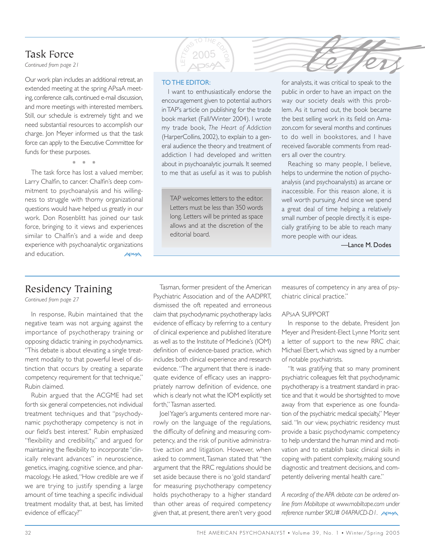# Task Force

**Continued from page 21** 

Our work plan includes an additional retreat, an extended meeting at the spring APsaA meeting, conference calls, continued e-mail discussion, and more meetings with interested members. Still, our schedule is extremely tight and we need substantial resources to accomplish our charge. Jon Meyer informed us that the task force can apply to the Executive Committee for funds for these purposes.

\*\*\*

The task force has lost a valued member, Larry Chalfin, to cancer. Chalfin's deep commitment to psychoanalysis and his willingness to struggle with thorny organizational questions would have helped us greatly in our work. Don Rosenblitt has joined our task force, bringing to it views and experiences similar to Chalfin's and a wide and deep experience with psychoanalytic organizations and education.

### TO THE EDITOR:

**RESTOTHE EDITOR** 

I want to enthusiastically endorse the encouragement given to potential authors in TAP's article on publishing for the trade book market (Fall/Winter 2004). I wrote my trade book, *The Heart of Addiction* (HarperCollins, 2002), to explain to a general audience the theory and treatment of addiction I had developed and written about in psychoanalytic journals. It seemed to me that as useful as it was to publish

TAP welcomes letters to the editor. Letters must be less than 350 words long. Letters will be printed as space allows and at the discretion of the editorial board.

for analysts, it was critical to speak to the For analysts, it was critical to speak to the public in order to have an impact on the way our society deals with this problem. As it turned out, the book became the best selling work in its field on Amazon.com for several months and continues to do well in bookstores, and I have received favorable comments from readers all over the country.

Reaching so many people, I believe, helps to undermine the notion of psychoanalysis (and psychoanalysts) as arcane or inaccessible. For this reason alone, it is well worth pursuing. And since we spend a great deal of time helping a relatively small number of people directly, it is especially gratifying to be able to reach many more people with our ideas.

—Lance M. Dodes

# Residency Training

*Continued from page 27*

In response, Rubin maintained that the negative team was not arguing against the importance of psychotherapy training or opposing didactic training in psychodynamics. "This debate is about elevating a single treatment modality to that powerful level of distinction that occurs by creating a separate competency requirement for that technique," Rubin claimed.

Rubin argued that the ACGME had set forth six general competencies, not individual treatment techniques and that "psychodynamic psychotherapy competency is not in our field's best interest." Rubin emphasized "flexibility and credibility," and argued for maintaining the flexibility to incorporate "clinically relevant advances" in neuroscience, genetics, imaging, cognitive science, and pharmacology. He asked,"How credible are we if we are trying to justify spending a large amount of time teaching a specific individual treatment modality that, at best, has limited evidence of efficacy?"

Tasman, former president of the American Psychiatric Association and of the AADPRT, dismissed the oft repeated and erroneous claim that psychodynamic psychotherapy lacks evidence of efficacy by referring to a century of clinical experience and published literature as well as to the Institute of Medicine's (IOM) definition of evidence-based practice, which includes both clinical experience and research evidence. "The argument that there is inadequate evidence of efficacy uses an inappropriately narrow definition of evidence, one which is clearly not what the IOM explicitly set forth," Tasman asserted.

Joel Yager's arguments centered more narrowly on the language of the regulations, the difficulty of defining and measuring competency, and the risk of punitive administrative action and litigation. However, when asked to comment,Tasman stated that "the argument that the RRC regulations should be set aside because there is no 'gold standard' for measuring psychotherapy competency holds psychotherapy to a higher standard than other areas of required competency given that, at present, there aren't very good

measures of competency in any area of psychiatric clinical practice."

### APSAA SUPPORT

In response to the debate, President Jon Meyer and President-Elect Lynne Moritz sent a letter of support to the new RRC chair, Michael Ebert, which was signed by a number of notable psychiatrists.

"It was gratifying that so many prominent psychiatric colleagues felt that psychodynamic psychotherapy is a treatment standard in practice and that it would be shortsighted to move away from that experience as one foundation of the psychiatric medical specialty," Meyer said. "In our view, psychiatric residency must provide a basic psychodynamic competency to help understand the human mind and motivation and to establish basic clinical skills in coping with patient complexity, making sound diagnostic and treatment decisions, and competently delivering mental health care."

*A recording of the APA debate can be ordered online from Mobiltape at www.mobiltape.com under reference number SKU# 04APA/CD-D1.*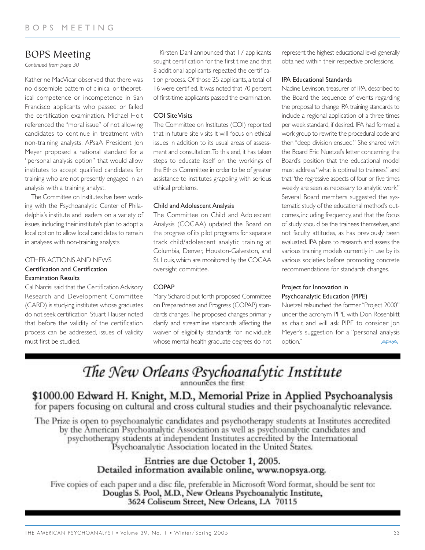# BOPS Meeting

*Continued from page 30*

Katherine MacVicar observed that there was no discernible pattern of clinical or theoretical competence or incompetence in San Francisco applicants who passed or failed the certification examination. Michael Hoit referenced the "moral issue" of not allowing candidates to continue in treatment with non-training analysts. APsaA President Jon Meyer proposed a national standard for a "personal analysis option" that would allow institutes to accept qualified candidates for training who are not presently engaged in an analysis with a training analyst.

The Committee on Institutes has been working with the Psychoanalytic Center of Philadelphia's institute and leaders on a variety of issues, including their institute's plan to adopt a local option to allow local candidates to remain in analyses with non-training analysts.

### OTHER ACTIONS AND NEWS Certification and Certification Examination Results

Cal Narcisi said that the Certification Advisory Research and Development Committee (CARD) is studying institutes whose graduates do not seek certification. Stuart Hauser noted that before the validity of the certification process can be addressed, issues of validity must first be studied.

Kirsten Dahl announced that 17 applicants sought certification for the first time and that 8 additional applicants repeated the certification process. Of those 25 applicants, a total of 16 were certified. It was noted that 70 percent of first-time applicants passed the examination.

### COI Site Visits

The Committee on Institutes (COI) reported that in future site visits it will focus on ethical issues in addition to its usual areas of assessment and consultation.To this end, it has taken steps to educate itself on the workings of the Ethics Committee in order to be of greater assistance to institutes grappling with serious ethical problems.

### Child and Adolescent Analysis

The Committee on Child and Adolescent Analysis (COCAA) updated the Board on the progress of its pilot programs for separate track child/adolescent analytic training at Columbia, Denver, Houston-Galveston, and St. Louis, which are monitored by the COCAA oversight committee.

### **COPAP**

Mary Scharold put forth proposed Committee on Preparedness and Progress (COPAP) standards changes.The proposed changes primarily clarify and streamline standards affecting the waiver of eligibility standards for individuals whose mental health graduate degrees do not

represent the highest educational level generally obtained within their respective professions.

### IPA Educational Standards

Nadine Levinson, treasurer of IPA, described to the Board the sequence of events regarding the proposal to change IPA training standards to include a regional application of a three times per week standard, if desired. IPA had formed a work group to rewrite the procedural code and then "deep division ensued." She shared with the Board Eric Nuetzel's letter concerning the Board's position that the educational model must address "what is optimal to trainees," and that "the regressive aspects of four or five times weekly are seen as necessary to analytic work." Several Board members suggested the systematic study of the educational method's outcomes, including frequency, and that the focus of study should be the trainees themselves, and not faculty attitudes, as has previously been evaluated. IPA plans to research and assess the various training models currently in use by its various societies before promoting concrete recommendations for standards changes.

# Project for Innovation in Psychoanalytic Education (PIPE)

Nuetzel relaunched the former "Project 2000" under the acronym PIPE with Don Rosenblitt as chair, and will ask PIPE to consider Jon Meyer's suggestion for a "personal analysis option." **APSAA** 

# The New Orleans Psychoanalytic Institute

# \$1000.00 Edward H. Knight, M.D., Memorial Prize in Applied Psychoanalysis for papers focusing on cultural and cross cultural studies and their psychoanalytic relevance.

The Prize is open to psychoanalytic candidates and psychotherapy students at Institutes accredited by the American Psychoanalytic Association as well as psychoanalytic candidates and psychotherapy students at independent Institutes accredited by the International Psychoanalytic Association located in the United States.

# Entries are due October 1, 2005. Detailed information available online, www.nopsya.org.

Five copies of each paper and a disc file, preferable in Microsoft Word format, should be sent to: Douglas S. Pool, M.D., New Orleans Psychoanalytic Institute, 3624 Coliseum Street, New Orleans, LA 70115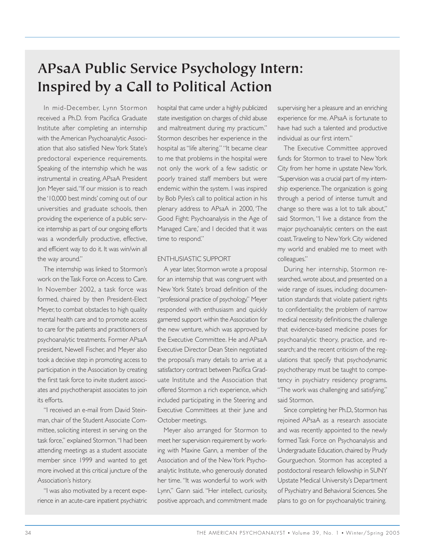# **APsaA Public Service Psychology Intern: Inspired by a Call to Political Action**

In mid-December, Lynn Stormon received a Ph.D. from Pacifica Graduate Institute after completing an internship with the American Psychoanalytic Association that also satisfied New York State's predoctoral experience requirements. Speaking of the internship which he was instrumental in creating, APsaA President Jon Meyer said,"If our mission is to reach the '10,000 best minds' coming out of our universities and graduate schools, then providing the experience of a public service internship as part of our ongoing efforts was a wonderfully productive, effective, and efficient way to do it. It was win/win all the way around."

The internship was linked to Stormon's work on the Task Force on Access to Care. In November 2002, a task force was formed, chaired by then President-Elect Meyer, to combat obstacles to high quality mental health care and to promote access to care for the patients and practitioners of psychoanalytic treatments. Former APsaA president, Newell Fischer, and Meyer also took a decisive step in promoting access to participation in the Association by creating the first task force to invite student associates and psychotherapist associates to join its efforts.

"I received an e-mail from David Steinman, chair of the Student Associate Committee, soliciting interest in serving on the task force," explained Stormon."I had been attending meetings as a student associate member since 1999 and wanted to get more involved at this critical juncture of the Association's history.

"I was also motivated by a recent experience in an acute-care inpatient psychiatric hospital that came under a highly publicized state investigation on charges of child abuse and maltreatment during my practicum." Stormon describes her experience in the hospital as "life altering." "It became clear to me that problems in the hospital were not only the work of a few sadistic or poorly trained staff members but were endemic within the system. I was inspired by Bob Pyles's call to political action in his plenary address to APsaA in 2000, 'The Good Fight: Psychoanalysis in the Age of Managed Care,' and I decided that it was time to respond."

### ENTHUSIASTIC SUPPORT

A year later, Stormon wrote a proposal for an internship that was congruent with New York State's broad definition of the "professional practice of psychology." Meyer responded with enthusiasm and quickly garnered support within the Association for the new venture, which was approved by the Executive Committee. He and APsaA Executive Director Dean Stein negotiated the proposal's many details to arrive at a satisfactory contract between Pacifica Graduate Institute and the Association that offered Stormon a rich experience, which included participating in the Steering and Executive Committees at their June and October meetings.

Meyer also arranged for Stormon to meet her supervision requirement by working with Maxine Gann, a member of the Association and of the New York Psychoanalytic Institute, who generously donated her time. "It was wonderful to work with Lynn," Gann said. "Her intellect, curiosity, positive approach, and commitment made

supervising her a pleasure and an enriching experience for me. APsaA is fortunate to have had such a talented and productive individual as our first intern."

The Executive Committee approved funds for Stormon to travel to New York City from her home in upstate New York. "Supervision was a crucial part of my internship experience. The organization is going through a period of intense tumult and change so there was a lot to talk about," said Stormon, "I live a distance from the major psychoanalytic centers on the east coast.Traveling to New York City widened my world and enabled me to meet with colleagues."

During her internship, Stormon researched, wrote about, and presented on a wide range of issues, including: documentation standards that violate patient rights to confidentiality; the problem of narrow medical necessity definitions; the challenge that evidence-based medicine poses for psychoanalytic theory, practice, and research; and the recent criticism of the regulations that specify that psychodynamic psychotherapy must be taught to competency in psychiatry residency programs. "The work was challenging and satisfying," said Stormon.

Since completing her Ph.D., Stormon has rejoined APsaA as a research associate and was recently appointed to the newly formed Task Force on Psychoanalysis and Undergraduate Education, chaired by Prudy Gourguechon. Stormon has accepted a postdoctoral research fellowship in SUNY Upstate Medical University's Department of Psychiatry and Behavioral Sciences. She plans to go on for psychoanalytic training.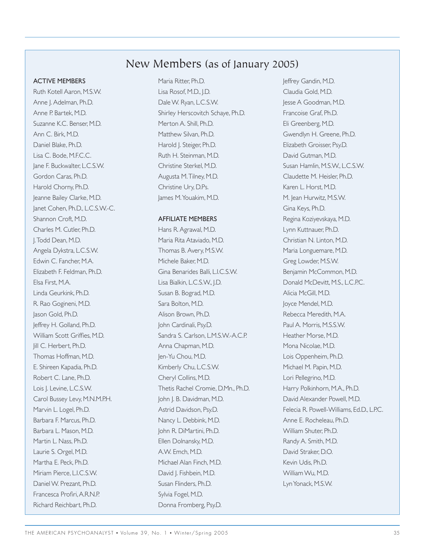# New Members (as of January 2005)

### ACTIVE MEMBERS

Ruth Kotell Aaron, M.S.W. Anne J. Adelman, Ph.D. Anne P. Bartek, M.D. Suzanne K.C. Benser, M.D. Ann C. Birk, M.D. Daniel Blake, Ph.D. Lisa C. Bode, M.F.C.C. Jane F. Buckwalter, L.C.S.W. Gordon Caras, Ph.D. Harold Chorny, Ph.D. Jeanne Bailey Clarke, M.D. Janet Cohen, Ph.D., L.C.S.W.-C. Shannon Croft, M.D. Charles M. Cutler, Ph.D. J.Todd Dean, M.D. Angela Dykstra, L.C.S.W. Edwin C. Fancher, M.A. Elizabeth F. Feldman, Ph.D. Elsa First, M.A. Linda Geurkink, Ph.D. R. Rao Gogineni, M.D. Jason Gold, Ph.D. Jeffrey H. Golland, Ph.D. William Scott Griffies, M.D. Jill C. Herbert, Ph.D. Thomas Hoffman, M.D. E. Shireen Kapadia, Ph.D. Robert C. Lane, Ph.D. Lois J. Levine, L.C.S.W. Carol Bussey Levy, M.N.M.P.H. Marvin L. Logel, Ph.D. Barbara F. Marcus, Ph.D. Barbara L. Mason, M.D. Martin L. Nass, Ph.D. Laurie S. Orgel, M.D. Martha E. Peck, Ph.D. Miriam Pierce, L.I.C.S.W. Daniel W. Prezant, Ph.D. Francesca Profiri,A.R.N.P. Richard Reichbart, Ph.D.

Maria Ritter, Ph.D. Lisa Rosof, M.D., J.D. Dale W. Ryan, L.C.S.W. Shirley Herscovitch Schaye, Ph.D. Merton A. Shill, Ph.D. Matthew Silvan, Ph.D. Harold J. Steiger, Ph.D. Ruth H. Steinman, M.D. Christine Sterkel, M.D. Augusta M.Tilney, M.D. Christine Ury, D.Ps. James M.Youakim, M.D.

#### AFFILIATE MEMBERS

Hans R. Agrawal, M.D. Maria Rita Ataviado, M.D. Thomas B. Avery, M.S.W. Michele Baker, M.D. Gina Benarides Balli, L.I.C.S.W. Lisa Bialkin, L.C.S.W., J.D. Susan B. Bograd, M.D. Sara Bolton, M.D. Alison Brown, Ph.D. John Cardinali, Psy.D. Sandra S. Carlson, L.M.S.W.-A.C.P. Anna Chapman, M.D. Jen-Yu Chou, M.D. Kimberly Chu, L.C.S.W. Cheryl Collins, M.D. Thetis Rachel Cromie, D.Mn., Ph.D. John J. B. Davidman, M.D. Astrid Davidson, Psy.D. Nancy L. Debbink, M.D. John R. DiMartini, Ph.D. Ellen Dolnansky, M.D. A.W. Emch, M.D. Michael Alan Finch, M.D. David J. Fishbein, M.D. Susan Flinders, Ph.D. Sylvia Fogel, M.D. Donna Fromberg, Psy.D.

Jeffrey Gandin, M.D. Claudia Gold, M.D. Jesse A Goodman, M.D. Francoise Graf, Ph.D. Eli Greenberg, M.D. Gwendlyn H. Greene, Ph.D. Elizabeth Groisser, Psy.D. David Gutman, M.D. Susan Hamlin, M.S.W., L.C.S.W. Claudette M. Heisler, Ph.D. Karen L. Horst, M.D. M. Jean Hurwitz, M.S.W. Gina Keys, Ph.D. Regina Koziyevskaya, M.D. Lynn Kuttnauer, Ph.D. Christian N. Linton, M.D. Maria Longuemare, M.D. Greg Lowder, M.S.W. Benjamin McCommon, M.D. Donald McDevitt, M.S., L.C.P.C. Alicia McGill, M.D. Joyce Mendel, M.D. Rebecca Meredith, M.A. Paul A. Morris, M.S.S.W. Heather Morse, M.D. Mona Nicolae, M.D. Lois Oppenheim, Ph.D. Michael M. Papin, M.D. Lori Pellegrino, M.D. Harry Polkinhorn, M.A., Ph.D. David Alexander Powell, M.D. Felecia R. Powell-Williams, Ed.D., L.P.C. Anne E. Rocheleau, Ph.D. William Shuter, Ph.D. Randy A. Smith, M.D. David Straker, D.O. Kevin Udis, Ph.D. William Wu, M.D. Lyn Yonack, M.S.W.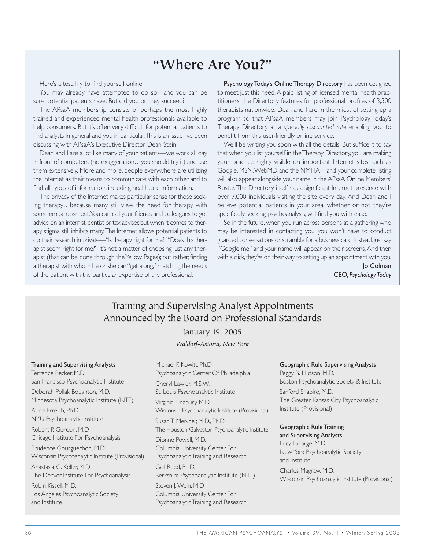# **"Where Are You?"**

Here's a test: Try to find yourself online.

You may already have attempted to do so—and you can be sure potential patients have. But did you or they succeed?

The APsaA membership consists of perhaps the most highly trained and experienced mental health professionals available to help consumers. But it's often very difficult for potential patients to find analysts in general and you in particular.This is an issue I've been discussing with APsaA's Executive Director, Dean Stein.

Dean and I are a lot like many of your patients—we work all day in front of computers (no exaggeration…you should try it) and use them extensively. More and more, people everywhere are utilizing the Internet as their means to communicate with each other and to find all types of information, including healthcare information.

The privacy of the Internet makes particular sense for those seeking therapy…because many still view the need for therapy with some embarrassment.You can call your friends and colleagues to get advice on an internist, dentist or tax adviser but when it comes to therapy, stigma still inhibits many.The Internet allows potential patients to do their research in private—"Is therapy right for me?" "Does this therapist seem right for me?" It's not a matter of choosing just any therapist (that can be done through the Yellow Pages); but rather, finding a therapist with whom he or she can "get along," matching the needs of the patient with the particular expertise of the professional.

Psychology Today's Online Therapy Directory has been designed to meet just this need. A paid listing of licensed mental health practitioners, the Directory features full professional profiles of 3,500 therapists nationwide. Dean and I are in the midst of setting up a program so that APsaA members may join Psychology Today's Therapy Directory at a *specially discounted rate* enabling you to benefit from this user-friendly online service.

We'll be writing you soon with all the details. But suffice it to say that when you list yourself in the Therapy Directory, you are making your practice highly visible on important Internet sites such as Google, MSN,WebMD and the NMHA—and your complete listing will also appear alongside your name in the APsaA Online Members' Roster.The Directory itself has a significant Internet presence with over 7,000 individuals visiting the site every day. And Dean and I believe potential patients in your area, whether or not they're specifically seeking psychoanalysis, will find you with ease.

So in the future, when you run across persons at a gathering who may be interested in contacting you, you won't have to conduct guarded conversations or scramble for a business card. Instead, just say "Google me" and your name will appear on their screens. And then with a click, they're on their way to setting up an appointment with you.

> Jo Colman CEO, *Psychology Today*

# Training and Supervising Analyst Appointments Announced by the Board on Professional Standards

January 19, 2005

*Waldorf-Astoria, New York*

Training and Supervising Analysts Terrence Becker, M.D. San Francisco Psychoanalytic Institute Deborah Pollak Boughton, M.D. Minnesota Psychoanalytic Institute (NTF) Anne Erreich, Ph.D.

NYU Psychoanalytic Institute

Robert P. Gordon, M.D. Chicago Institute For Psychoanalysis

Prudence Gourguechon, M.D. Wisconsin Psychoanalytic Institute (Provisional)

Anastasia C. Keller, M.D. The Denver Institute For Psychoanalysis

Robin Kissell, M.D. Los Angeles Psychoanalytic Society and Institute

Michael P. Kowitt, Ph.D. Psychoanalytic Center Of Philadelphia Cheryl Lawler, M.S.W. St. Louis Psychoanalytic Institute Virginia Linabury, M.D.

Wisconsin Psychoanalytic Institute (Provisional) Susan T. Meixner, M.D., Ph.D.

The Houston-Galveston Psychoanalytic Institute Dionne Powell, M.D.

Columbia University Center For Psychoanalytic Training and Research

Gail Reed, Ph.D. Berkshire Psychoanalytic Institute (NTF)

Steven J. Wein, M.D. Columbia University Center For Psychoanalytic Training and Research

### Geographic Rule Supervising Analysts

Peggy B. Hutson, M.D. Boston Psychoanalytic Society & Institute Sanford Shapiro, M.D. The Greater Kansas City Psychoanalytic Institute (Provisional)

### Geographic Rule Training

and Supervising Analysts Lucy LaFarge, M.D. New York Psychoanalytic Society and Institute Charles Magraw, M.D. Wisconsin Psychoanalytic Institute (Provisional)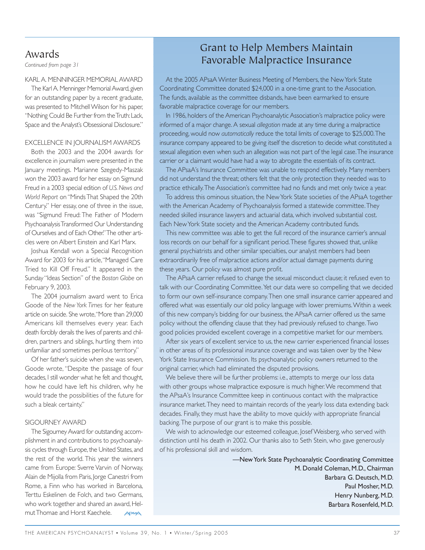# Awards

*Continued from page 31*

### KARL A. MENNINGER MEMORIAL AWARD

The Karl A. Menninger Memorial Award, given for an outstanding paper by a recent graduate, was presented to Mitchell Wilson for his paper, "Nothing Could Be Further from the Truth:Lack, Space and the Analyst's Obsessional Disclosure."

#### EXCELLENCE IN JOURNALISM AWARDS

Both the 2003 and the 2004 awards for excellence in journalism were presented in the January meetings. Marianne Szegedy-Maszak won the 2003 award for her essay on Sigmund Freud in a 2003 special edition of *U.S. News and World Report* on "Minds That Shaped the 20th Century." Her essay, one of three in the issue, was "Sigmund Freud: The Father of Modern Psychoanalysis Transformed Our Understanding of Ourselves and of Each Other." The other articles were on Albert Einstein and Karl Marx.

Joshua Kendall won a Special Recognition Award for 2003 for his article,"Managed Care Tried to Kill Off Freud." It appeared in the Sunday "Ideas Section" of the *Boston Globe* on February 9, 2003.

The 2004 journalism award went to Erica Goode of the *New York Times* for her feature article on suicide. She wrote,"More than 29,000 Americans kill themselves every year. Each death forcibly derails the lives of parents and children, partners and siblings, hurtling them into unfamiliar and sometimes perilous territory."

Of her father's suicide when she was seven, Goode wrote, "Despite the passage of four decades, I still wonder what he felt and thought, how he could have left his children, why he would trade the possibilities of the future for such a bleak certainty."

#### SIGOURNEY AWARD

The Sigourney Award for outstanding accomplishment in and contributions to psychoanalysis cycles through Europe, the United States, and the rest of the world. This year the winners came from Europe: Sverre Varvin of Norway, Alain de Mijolla from Paris, Jorge Canestri from Rome, a Finn who has worked in Barcelona, Terttu Eskelinen de Folch, and two Germans, who work together and shared an award, Helmut Thomae and Horst Kaechele.

# Grant to Help Members Maintain Favorable Malpractice Insurance

At the 2005 APsaA Winter Business Meeting of Members, the New York State Coordinating Committee donated \$24,000 in a one-time grant to the Association. The funds, available as the committee disbands, have been earmarked to ensure favorable malpractice coverage for our members.

In 1986, holders of the American Psychoanalytic Association's malpractice policy were informed of a major change. A sexual *allegation* made at any time during a malpractice proceeding, would now *automatically* reduce the total limits of coverage to \$25,000.The insurance company appeared to be giving itself the discretion to decide what constituted a sexual allegation even when such an allegation was not part of the legal case. The insurance carrier or a claimant would have had a way to abrogate the essentials of its contract.

The APsaA's Insurance Committee was unable to respond effectively. Many members did not understand the threat; others felt that the only protection they needed was to practice ethically.The Association's committee had no funds and met only twice a year.

To address this ominous situation, the New York State societies of the APsaA together with the American Academy of Psychoanalysis formed a statewide committee.They needed skilled insurance lawyers and actuarial data, which involved substantial cost. Each New York State society and the American Academy contributed funds.

This new committee was able to get the full record of the insurance carrier's annual loss records on our behalf for a significant period.These figures showed that, unlike general psychiatrists and other similar specialties, our analyst members had been extraordinarily free of malpractice actions and/or actual damage payments during these years. Our policy was almost pure profit.

The APsaA carrier refused to change the sexual misconduct clause; it refused even to talk with our Coordinating Committee. Yet our data were so compelling that we decided to form our own self-insurance company.Then one small insurance carrier appeared and offered what was essentially our old policy language with lower premiums.Within a week of this new company's bidding for our business, the APsaA carrier offered us the same policy without the offending clause that they had previously refused to change.Two good policies provided excellent coverage in a competitive market for our members.

After six years of excellent service to us, the new carrier experienced financial losses in other areas of its professional insurance coverage and was taken over by the New York State Insurance Commission. Its psychoanalytic policy owners returned to the original carrier, which had eliminated the disputed provisions.

We believe there will be further problems: i.e., attempts to merge our loss data with other groups whose malpractice exposure is much higher. We recommend that the APsaA's Insurance Committee keep in continuous contact with the malpractice insurance market.They need to maintain records of the yearly loss data extending back decades. Finally, they must have the ability to move quickly with appropriate financial backing.The purpose of our grant is to make this possible.

We wish to acknowledge our esteemed colleague, Josef Weisberg, who served with distinction until his death in 2002. Our thanks also to Seth Stein, who gave generously of his professional skill and wisdom.

> —New York State Psychoanalytic Coordinating Committee M. Donald Coleman, M.D., Chairman Barbara G. Deutsch, M.D. Paul Mosher, M.D. Henry Nunberg, M.D. Barbara Rosenfeld, M.D.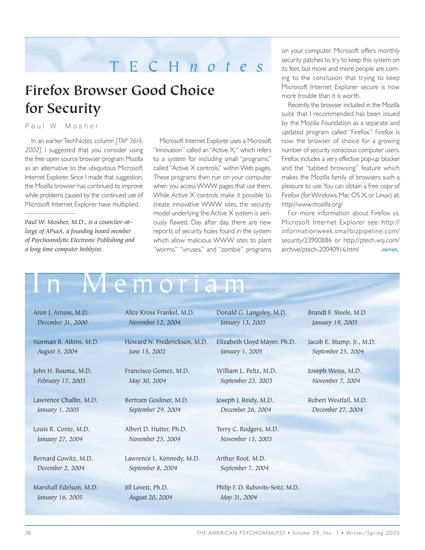# TECH *notes*

# **Firefox Browser Good Choice for Security**

Paul W. Mosher

In an earlier TechNotes column *[TAP 36/4, 2002]*, I suggested that you consider using the free open source browser program Mozilla as an alternative to the ubiquitous Microsoft Internet Explorer. Since I made that suggestion, the Mozilla browser has continued to improve while problems caused by the continued use of Microsoft Internet Explorer have multiplied.

Paul W. Mosher, M.D., *is a councilor-atlarge of APsaA, a founding board member of Psychoanalytic Electronic Publishing and a long time computer hobbyist.*

Microsoft Internet Explorer uses a Microsoft "innovation" called an "Active X," which refers to a system for including small "programs," called "Active X controls," within Web pages. These programs then run on your computer when you access WWW pages that use them. While Active X controls make it possible to create innovative WWW sites, the security model underlying the Active X system is seriously flawed. Day after day, there are new reports of security holes found in the system which allow malicious WWW sites to plant "worms," "viruses," and "zombie" programs

on your computer. Microsoft offers monthly security patches to try to keep this system on its feet, but more and more people are coming to the conclusion that trying to keep Microsoft Internet Explorer secure is now more trouble than it is worth.

Recently, the browser included in the Mozilla suite that I recommended has been issued by the Mozilla Foundation as a separate and updated program called "Firefox." Firefox is now the browser of choice for a growing number of security conscious computer users. Firefox includes a very effective pop-up blocker and the "tabbed browsing" feature which makes the Mozilla family of browsers such a pleasure to use.You can obtain a free copy of Firefox (for Windows, Mac OS X, or Linux) at: http://www.mozilla.org/

For more information about Firefox vs. Microsoft Internet Explorer see: http:// informationweek.smallbizpipeline.com/ security/23900886 or http://ptech.wsj.com/ archive/ptech-20040916.html

# M e m o r i a m

Aron J. Arnow, M.D. *December 31, 2000*

Norman B. Atkins, M.D. *August 5, 2004*

John H. Bouma, M.D. *February 17, 2003*

Lawrence Chalfin, M.D. *January 1, 2005*

Louis R. Conte, M.D. *January 27, 2004*

Bernard Cowitz, M.D. *December 2, 2004*

Marshall Edelson, M.D. *January 16, 2005*

Alice Kross Frankel, M.D. *November 12, 2004*

Howard N. Frederickson, M.D. *June 15, 2002*

Francisco Gomez, M.D. *May 30, 2004*

Bertram Gosliner, M.D. *September 29, 2004*

Albert D. Hutter, Ph.D. *November 25, 2004*

Lawrence L. Kennedy, M.D. *September 8, 2004*

Jill Lovett, Ph.D. *August 20, 2004* Donald G. Langsley, M.D. *January 13, 2005*

Elizabeth Lloyd Mayer, Ph.D. *January 1, 2005*

William L. Peltz, M.D. *September 23, 2003*

Joseph J. Reidy, M.D. *December 26, 2004*

Terry C. Rodgers, M.D. *November 13, 2003*

Arthur Root, M.D. *September 7, 2004*

Philip F. D. Rubovits-Seitz, M.D. *May 31, 2004*

Brandt F. Steele, M.D. *January 19, 2005*

Jacob E. Stump, Jr., M.D. *September 25, 2004*

Joseph Weiss, M.D. *November 7, 2004*

Robert Westfall, M.D. *December 27, 2004*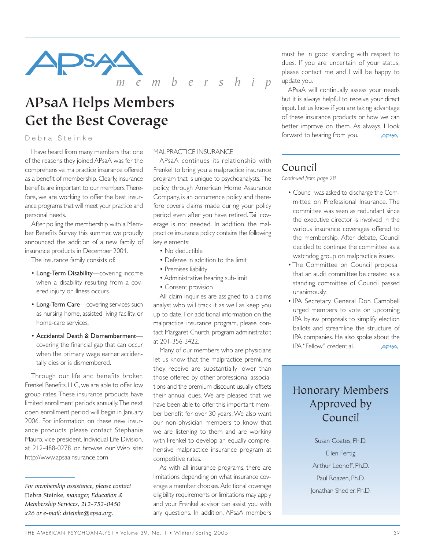

*membership*

# **APsaA Helps Members Get the Best Coverage**

# Debra Steinke

I have heard from many members that one of the reasons they joined APsaA was for the comprehensive malpractice insurance offered as a benefit of membership. Clearly, insurance benefits are important to our members.Therefore, we are working to offer the best insurance programs that will meet your practice and personal needs.

After polling the membership with a Member Benefits Survey this summer, we proudly announced the addition of a new family of insurance products in December 2004.

The insurance family consists of:

- Long-Term Disability—covering income when a disability resulting from a covered injury or illness occurs.
- Long-Term Care-covering services such as nursing home, assisted living facility, or home-care services.
- Accidental Death & Dismemberment covering the financial gap that can occur when the primary wage earner accidentally dies or is dismembered.

Through our life and benefits broker, Frenkel Benefits, LLC, we are able to offer low group rates. These insurance products have limited enrollment periods annually.The next open enrollment period will begin in January 2006. For information on these new insurance products, please contact Stephanie Mauro, vice president, Individual Life Division, at 212-488-0278 or browse our Web site: http://www.apsaainsurance.com

#### MALPRACTICE INSURANCE

APsaA continues its relationship with Frenkel to bring you a malpractice insurance program that is unique to psychoanalysts.The policy, through American Home Assurance Company, is an occurrence policy and therefore covers claims made during your policy period even after you have retired. Tail coverage is not needed. In addition, the malpractice insurance policy contains the following key elements:

- No deductible
- Defense in addition to the limit
- Premises liability
- Administrative hearing sub-limit
- Consent provision

All claim inquiries are assigned to a claims analyst who will track it as well as keep you up to date. For additional information on the malpractice insurance program, please contact Margaret Church, program administrator, at 201-356-3422.

Many of our members who are physicians let us know that the malpractice premiums they receive are substantially lower than those offered by other professional associations and the premium discount usually offsets their annual dues. We are pleased that we have been able to offer this important member benefit for over 30 years. We also want our non-physician members to know that we are listening to them and are working with Frenkel to develop an equally comprehensive malpractice insurance program at competitive rates.

As with all insurance programs, there are limitations depending on what insurance coverage a member chooses. Additional coverage eligibility requirements or limitations may apply and your Frenkel advisor can assist you with any questions. In addition, APsaA members

must be in good standing with respect to dues. If you are uncertain of your status, please contact me and I will be happy to update you.

APsaA will continually assess your needs but it is always helpful to receive your direct input. Let us know if you are taking advantage of these insurance products or how we can better improve on them. As always, I look forward to hearing from you.

# Council

*Continued from page 28*

- Council was asked to discharge the Committee on Professional Insurance. The committee was seen as redundant since the executive director is involved in the various insurance coverages offered to the membership. After debate, Council decided to continue the committee as a watchdog group on malpractice issues.
- The Committee on Council proposal that an audit committee be created as a standing committee of Council passed unanimously.
- IPA Secretary General Don Campbell urged members to vote on upcoming IPA bylaw proposals to simplify election ballots and streamline the structure of IPA companies. He also spoke about the IPA "Fellow" credential. **APSAA**

# Honorary Members Approved by Council

Susan Coates, Ph.D. Ellen Fertig Arthur Leonoff, Ph.D. Paul Roazen, Ph.D. Jonathan Shedler, Ph.D.

*For membership assistance, please contact* Debra Steinke, *manager, Education & Membership Services, 212-752-0450 x26 or e-mail: dsteinke@apsa.org.*